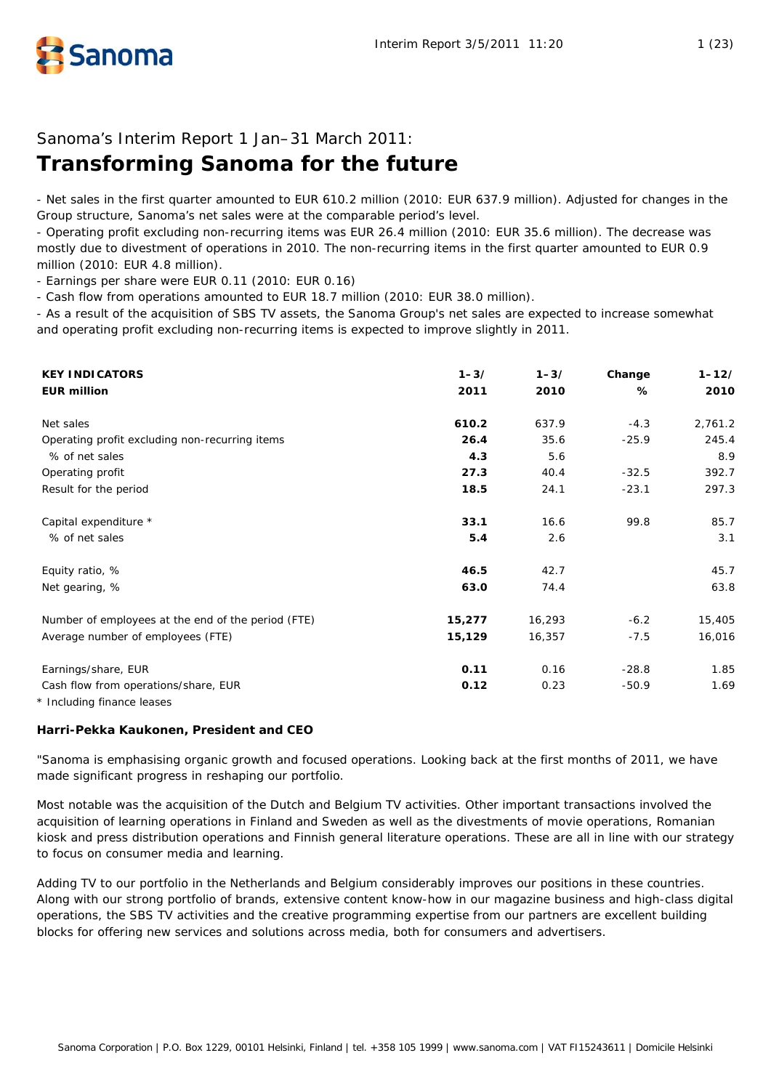

# Sanoma's Interim Report 1 Jan–31 March 2011:

# **Transforming Sanoma for the future**

- Net sales in the first quarter amounted to EUR 610.2 million (2010: EUR 637.9 million). Adjusted for changes in the Group structure, Sanoma's net sales were at the comparable period's level.

- Operating profit excluding non-recurring items was EUR 26.4 million (2010: EUR 35.6 million). The decrease was mostly due to divestment of operations in 2010. The non-recurring items in the first quarter amounted to EUR 0.9 million (2010: EUR 4.8 million).

- Earnings per share were EUR 0.11 (2010: EUR 0.16)

- Cash flow from operations amounted to EUR 18.7 million (2010: EUR 38.0 million).

- As a result of the acquisition of SBS TV assets, the Sanoma Group's net sales are expected to increase somewhat and operating profit excluding non-recurring items is expected to improve slightly in 2011.

| <b>KEY INDICATORS</b>                                                    | $1 - 3/$ | $1 - 3/$ | Change  | $1 - 12/$ |
|--------------------------------------------------------------------------|----------|----------|---------|-----------|
| <b>EUR million</b>                                                       | 2011     | 2010     | %       | 2010      |
| Net sales                                                                | 610.2    | 637.9    | $-4.3$  | 2,761.2   |
| Operating profit excluding non-recurring items                           | 26.4     | 35.6     | $-25.9$ | 245.4     |
| % of net sales                                                           | 4.3      | 5.6      |         | 8.9       |
| Operating profit                                                         | 27.3     | 40.4     | $-32.5$ | 392.7     |
| Result for the period                                                    | 18.5     | 24.1     | $-23.1$ | 297.3     |
| Capital expenditure *                                                    | 33.1     | 16.6     | 99.8    | 85.7      |
| % of net sales                                                           | 5.4      | 2.6      |         | 3.1       |
| Equity ratio, %                                                          | 46.5     | 42.7     |         | 45.7      |
| Net gearing, %                                                           | 63.0     | 74.4     |         | 63.8      |
| Number of employees at the end of the period (FTE)                       | 15,277   | 16,293   | $-6.2$  | 15,405    |
| Average number of employees (FTE)                                        | 15,129   | 16,357   | $-7.5$  | 16,016    |
| Earnings/share, EUR                                                      | 0.11     | 0.16     | $-28.8$ | 1.85      |
| Cash flow from operations/share, EUR<br>$\star$ Including finance leases | 0.12     | 0.23     | $-50.9$ | 1.69      |

Including finance leases

# **Harri-Pekka Kaukonen, President and CEO**

"Sanoma is emphasising organic growth and focused operations. Looking back at the first months of 2011, we have made significant progress in reshaping our portfolio.

Most notable was the acquisition of the Dutch and Belgium TV activities. Other important transactions involved the acquisition of learning operations in Finland and Sweden as well as the divestments of movie operations, Romanian kiosk and press distribution operations and Finnish general literature operations. These are all in line with our strategy to focus on consumer media and learning.

Adding TV to our portfolio in the Netherlands and Belgium considerably improves our positions in these countries. Along with our strong portfolio of brands, extensive content know-how in our magazine business and high-class digital operations, the SBS TV activities and the creative programming expertise from our partners are excellent building blocks for offering new services and solutions across media, both for consumers and advertisers.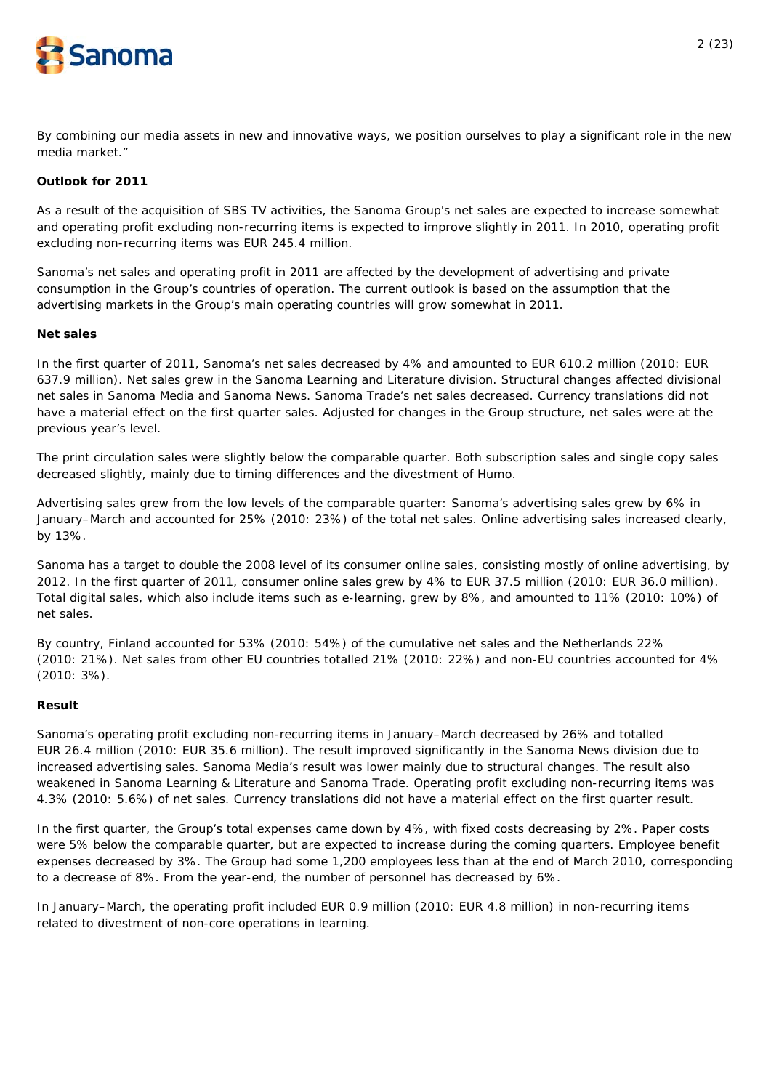

By combining our media assets in new and innovative ways, we position ourselves to play a significant role in the new media market."

# **Outlook for 2011**

As a result of the acquisition of SBS TV activities, the Sanoma Group's net sales are expected to increase somewhat and operating profit excluding non-recurring items is expected to improve slightly in 2011. In 2010, operating profit excluding non-recurring items was EUR 245.4 million.

Sanoma's net sales and operating profit in 2011 are affected by the development of advertising and private consumption in the Group's countries of operation. The current outlook is based on the assumption that the advertising markets in the Group's main operating countries will grow somewhat in 2011.

# **Net sales**

In the first quarter of 2011, Sanoma's net sales decreased by 4% and amounted to EUR 610.2 million (2010: EUR 637.9 million). Net sales grew in the Sanoma Learning and Literature division. Structural changes affected divisional net sales in Sanoma Media and Sanoma News. Sanoma Trade's net sales decreased. Currency translations did not have a material effect on the first quarter sales. Adjusted for changes in the Group structure, net sales were at the previous year's level.

The print circulation sales were slightly below the comparable quarter. Both subscription sales and single copy sales decreased slightly, mainly due to timing differences and the divestment of Humo.

Advertising sales grew from the low levels of the comparable quarter: Sanoma's advertising sales grew by 6% in January–March and accounted for 25% (2010: 23%) of the total net sales. Online advertising sales increased clearly, by 13%.

Sanoma has a target to double the 2008 level of its consumer online sales, consisting mostly of online advertising, by 2012. In the first quarter of 2011, consumer online sales grew by 4% to EUR 37.5 million (2010: EUR 36.0 million). Total digital sales, which also include items such as e-learning, grew by 8%, and amounted to 11% (2010: 10%) of net sales.

By country, Finland accounted for 53% (2010: 54%) of the cumulative net sales and the Netherlands 22% (2010: 21%). Net sales from other EU countries totalled 21% (2010: 22%) and non-EU countries accounted for 4% (2010: 3%).

# **Result**

Sanoma's operating profit excluding non-recurring items in January–March decreased by 26% and totalled EUR 26.4 million (2010: EUR 35.6 million). The result improved significantly in the Sanoma News division due to increased advertising sales. Sanoma Media's result was lower mainly due to structural changes. The result also weakened in Sanoma Learning & Literature and Sanoma Trade. Operating profit excluding non-recurring items was 4.3% (2010: 5.6%) of net sales. Currency translations did not have a material effect on the first quarter result.

In the first quarter, the Group's total expenses came down by 4%, with fixed costs decreasing by 2%. Paper costs were 5% below the comparable quarter, but are expected to increase during the coming quarters. Employee benefit expenses decreased by 3%. The Group had some 1,200 employees less than at the end of March 2010, corresponding to a decrease of 8%. From the year-end, the number of personnel has decreased by 6%.

In January–March, the operating profit included EUR 0.9 million (2010: EUR 4.8 million) in non-recurring items related to divestment of non-core operations in learning.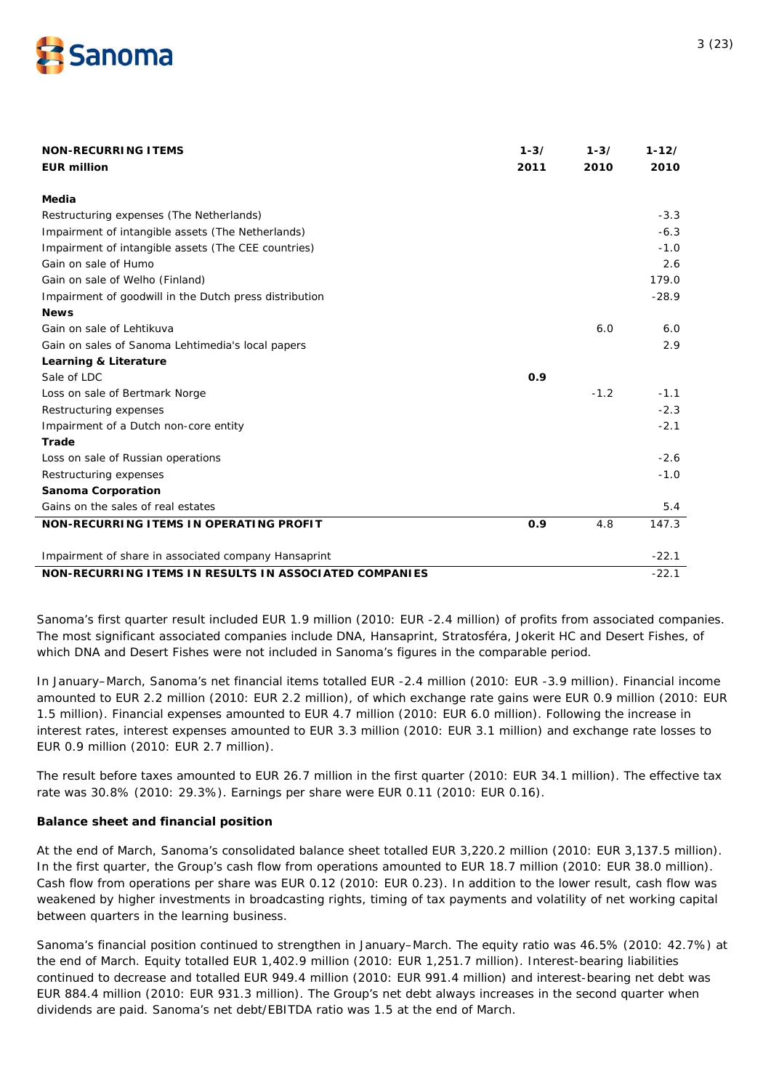

| <b>NON-RECURRING ITEMS</b>                             | $1 - 3/$ | $1 - 3/$ | $1 - 12/$ |
|--------------------------------------------------------|----------|----------|-----------|
| <b>EUR million</b>                                     | 2011     | 2010     | 2010      |
|                                                        |          |          |           |
| Media                                                  |          |          |           |
| Restructuring expenses (The Netherlands)               |          |          | $-3.3$    |
| Impairment of intangible assets (The Netherlands)      |          |          | $-6.3$    |
| Impairment of intangible assets (The CEE countries)    |          |          | $-1.0$    |
| Gain on sale of Humo                                   |          |          | 2.6       |
| Gain on sale of Welho (Finland)                        |          |          | 179.0     |
| Impairment of goodwill in the Dutch press distribution |          |          | $-28.9$   |
| <b>News</b>                                            |          |          |           |
| Gain on sale of Lehtikuva                              |          | 6.0      | 6.0       |
| Gain on sales of Sanoma Lehtimedia's local papers      |          |          | 2.9       |
| Learning & Literature                                  |          |          |           |
| Sale of LDC                                            | 0.9      |          |           |
| Loss on sale of Bertmark Norge                         |          | $-1.2$   | $-1.1$    |
| Restructuring expenses                                 |          |          | $-2.3$    |
| Impairment of a Dutch non-core entity                  |          |          | $-2.1$    |
| Trade                                                  |          |          |           |
| Loss on sale of Russian operations                     |          |          | $-2.6$    |
| Restructuring expenses                                 |          |          | $-1.0$    |
| Sanoma Corporation                                     |          |          |           |
| Gains on the sales of real estates                     |          |          | 5.4       |
| NON-RECURRING ITEMS IN OPERATING PROFIT                | 0.9      | 4.8      | 147.3     |
| Impairment of share in associated company Hansaprint   |          |          | $-22.1$   |
| NON-RECURRING ITEMS IN RESULTS IN ASSOCIATED COMPANIES |          |          | $-22.1$   |

Sanoma's first quarter result included EUR 1.9 million (2010: EUR -2.4 million) of profits from associated companies. The most significant associated companies include DNA, Hansaprint, Stratosféra, Jokerit HC and Desert Fishes, of which DNA and Desert Fishes were not included in Sanoma's figures in the comparable period.

In January–March, Sanoma's net financial items totalled EUR -2.4 million (2010: EUR -3.9 million). Financial income amounted to EUR 2.2 million (2010: EUR 2.2 million), of which exchange rate gains were EUR 0.9 million (2010: EUR 1.5 million). Financial expenses amounted to EUR 4.7 million (2010: EUR 6.0 million). Following the increase in interest rates, interest expenses amounted to EUR 3.3 million (2010: EUR 3.1 million) and exchange rate losses to EUR 0.9 million (2010: EUR 2.7 million).

The result before taxes amounted to EUR 26.7 million in the first quarter (2010: EUR 34.1 million). The effective tax rate was 30.8% (2010: 29.3%). Earnings per share were EUR 0.11 (2010: EUR 0.16).

# **Balance sheet and financial position**

At the end of March, Sanoma's consolidated balance sheet totalled EUR 3,220.2 million (2010: EUR 3,137.5 million). In the first quarter, the Group's cash flow from operations amounted to EUR 18.7 million (2010: EUR 38.0 million). Cash flow from operations per share was EUR 0.12 (2010: EUR 0.23). In addition to the lower result, cash flow was weakened by higher investments in broadcasting rights, timing of tax payments and volatility of net working capital between quarters in the learning business.

Sanoma's financial position continued to strengthen in January–March. The equity ratio was 46.5% (2010: 42.7%) at the end of March. Equity totalled EUR 1,402.9 million (2010: EUR 1,251.7 million). Interest-bearing liabilities continued to decrease and totalled EUR 949.4 million (2010: EUR 991.4 million) and interest-bearing net debt was EUR 884.4 million (2010: EUR 931.3 million). The Group's net debt always increases in the second quarter when dividends are paid. Sanoma's net debt/EBITDA ratio was 1.5 at the end of March.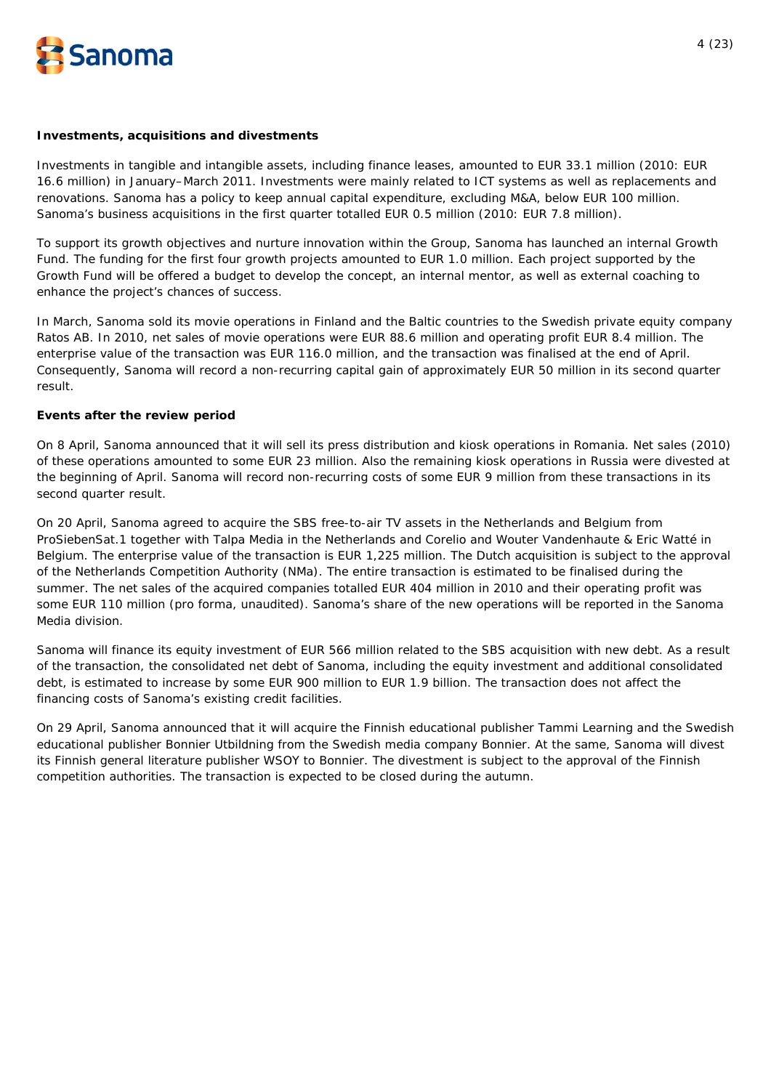

#### **Investments, acquisitions and divestments**

Investments in tangible and intangible assets, including finance leases, amounted to EUR 33.1 million (2010: EUR 16.6 million) in January–March 2011. Investments were mainly related to ICT systems as well as replacements and renovations. Sanoma has a policy to keep annual capital expenditure, excluding M&A, below EUR 100 million. Sanoma's business acquisitions in the first quarter totalled EUR 0.5 million (2010: EUR 7.8 million).

To support its growth objectives and nurture innovation within the Group, Sanoma has launched an internal Growth Fund. The funding for the first four growth projects amounted to EUR 1.0 million. Each project supported by the Growth Fund will be offered a budget to develop the concept, an internal mentor, as well as external coaching to enhance the project's chances of success.

In March, Sanoma sold its movie operations in Finland and the Baltic countries to the Swedish private equity company Ratos AB. In 2010, net sales of movie operations were EUR 88.6 million and operating profit EUR 8.4 million. The enterprise value of the transaction was EUR 116.0 million, and the transaction was finalised at the end of April. Consequently, Sanoma will record a non-recurring capital gain of approximately EUR 50 million in its second quarter result.

#### **Events after the review period**

On 8 April, Sanoma announced that it will sell its press distribution and kiosk operations in Romania. Net sales (2010) of these operations amounted to some EUR 23 million. Also the remaining kiosk operations in Russia were divested at the beginning of April. Sanoma will record non-recurring costs of some EUR 9 million from these transactions in its second quarter result.

On 20 April, Sanoma agreed to acquire the SBS free-to-air TV assets in the Netherlands and Belgium from ProSiebenSat.1 together with Talpa Media in the Netherlands and Corelio and Wouter Vandenhaute & Eric Watté in Belgium. The enterprise value of the transaction is EUR 1,225 million. The Dutch acquisition is subject to the approval of the Netherlands Competition Authority (NMa). The entire transaction is estimated to be finalised during the summer. The net sales of the acquired companies totalled EUR 404 million in 2010 and their operating profit was some EUR 110 million (pro forma, unaudited). Sanoma's share of the new operations will be reported in the Sanoma Media division.

Sanoma will finance its equity investment of EUR 566 million related to the SBS acquisition with new debt. As a result of the transaction, the consolidated net debt of Sanoma, including the equity investment and additional consolidated debt, is estimated to increase by some EUR 900 million to EUR 1.9 billion. The transaction does not affect the financing costs of Sanoma's existing credit facilities.

On 29 April, Sanoma announced that it will acquire the Finnish educational publisher Tammi Learning and the Swedish educational publisher Bonnier Utbildning from the Swedish media company Bonnier. At the same, Sanoma will divest its Finnish general literature publisher WSOY to Bonnier. The divestment is subject to the approval of the Finnish competition authorities. The transaction is expected to be closed during the autumn.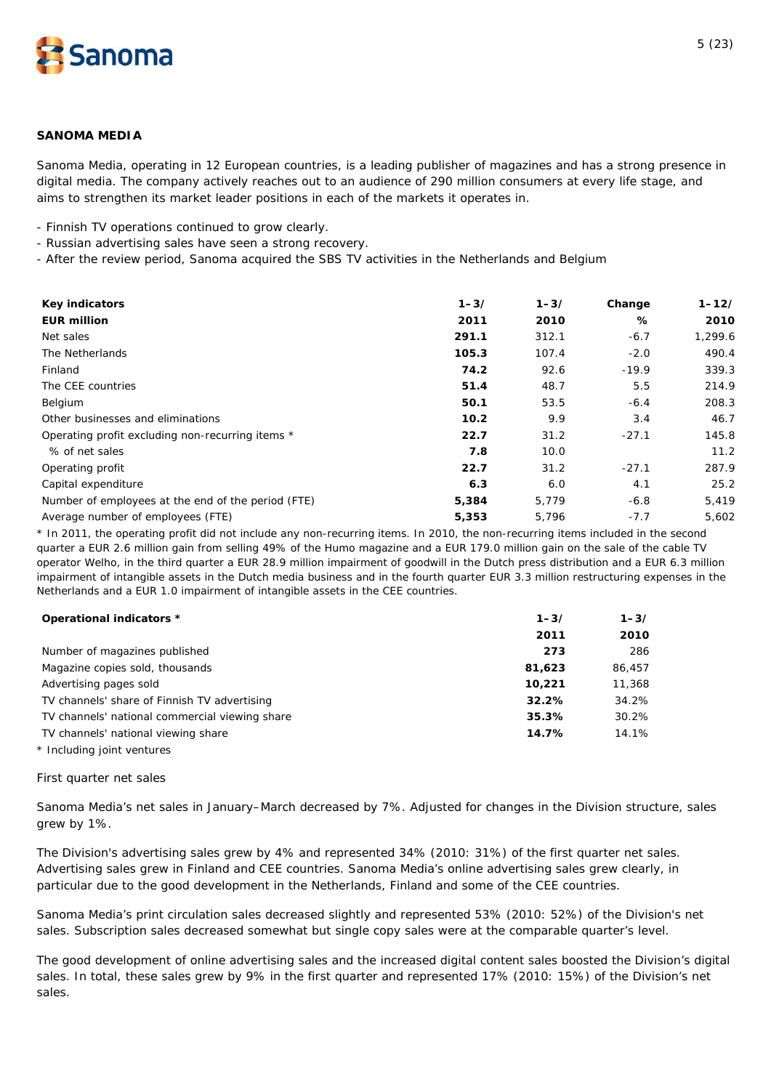

# **SANOMA MEDIA**

*Sanoma Media, operating in 12 European countries, is a leading publisher of magazines and has a strong presence in digital media. The company actively reaches out to an audience of 290 million consumers at every life stage, and aims to strengthen its market leader positions in each of the markets it operates in.* 

- Finnish TV operations continued to grow clearly.

- Russian advertising sales have seen a strong recovery.
- After the review period, Sanoma acquired the SBS TV activities in the Netherlands and Belgium

| <b>Key indicators</b>                              | $1 - 3/$ | $1 - 3/$ | Change  | $1 - 12/$ |
|----------------------------------------------------|----------|----------|---------|-----------|
| <b>EUR million</b>                                 | 2011     | 2010     | %       | 2010      |
| Net sales                                          | 291.1    | 312.1    | $-6.7$  | 1,299.6   |
| The Netherlands                                    | 105.3    | 107.4    | $-2.0$  | 490.4     |
| Finland                                            | 74.2     | 92.6     | $-19.9$ | 339.3     |
| The CEE countries                                  | 51.4     | 48.7     | 5.5     | 214.9     |
| Belgium                                            | 50.1     | 53.5     | $-6.4$  | 208.3     |
| Other businesses and eliminations                  | 10.2     | 9.9      | 3.4     | 46.7      |
| Operating profit excluding non-recurring items *   | 22.7     | 31.2     | $-27.1$ | 145.8     |
| % of net sales                                     | 7.8      | 10.0     |         | 11.2      |
| Operating profit                                   | 22.7     | 31.2     | $-27.1$ | 287.9     |
| Capital expenditure                                | 6.3      | 6.0      | 4.1     | 25.2      |
| Number of employees at the end of the period (FTE) | 5,384    | 5,779    | $-6.8$  | 5,419     |
| Average number of employees (FTE)                  | 5,353    | 5,796    | $-7.7$  | 5,602     |

\* In 2011, the operating profit did not include any non-recurring items. In 2010, the non-recurring items included in the second quarter a EUR 2.6 million gain from selling 49% of the Humo magazine and a EUR 179.0 million gain on the sale of the cable TV operator Welho, in the third quarter a EUR 28.9 million impairment of goodwill in the Dutch press distribution and a EUR 6.3 million impairment of intangible assets in the Dutch media business and in the fourth quarter EUR 3.3 million restructuring expenses in the Netherlands and a EUR 1.0 impairment of intangible assets in the CEE countries.

| Operational indicators *                       | $1 - 3/$ | $1 - 3/$ |
|------------------------------------------------|----------|----------|
|                                                | 2011     | 2010     |
| Number of magazines published                  | 273      | 286      |
| Magazine copies sold, thousands                | 81,623   | 86,457   |
| Advertising pages sold                         | 10.221   | 11,368   |
| TV channels' share of Finnish TV advertising   | 32.2%    | 34.2%    |
| TV channels' national commercial viewing share | 35.3%    | 30.2%    |
| TV channels' national viewing share            | 14.7%    | 14.1%    |
| * Including joint ventures                     |          |          |

#### *First quarter net sales*

Sanoma Media's net sales in January–March decreased by 7%. Adjusted for changes in the Division structure, sales grew by 1%.

The Division's advertising sales grew by 4% and represented 34% (2010: 31%) of the first quarter net sales. Advertising sales grew in Finland and CEE countries. Sanoma Media's online advertising sales grew clearly, in particular due to the good development in the Netherlands, Finland and some of the CEE countries.

Sanoma Media's print circulation sales decreased slightly and represented 53% (2010: 52%) of the Division's net sales. Subscription sales decreased somewhat but single copy sales were at the comparable quarter's level.

The good development of online advertising sales and the increased digital content sales boosted the Division's digital sales. In total, these sales grew by 9% in the first quarter and represented 17% (2010: 15%) of the Division's net sales.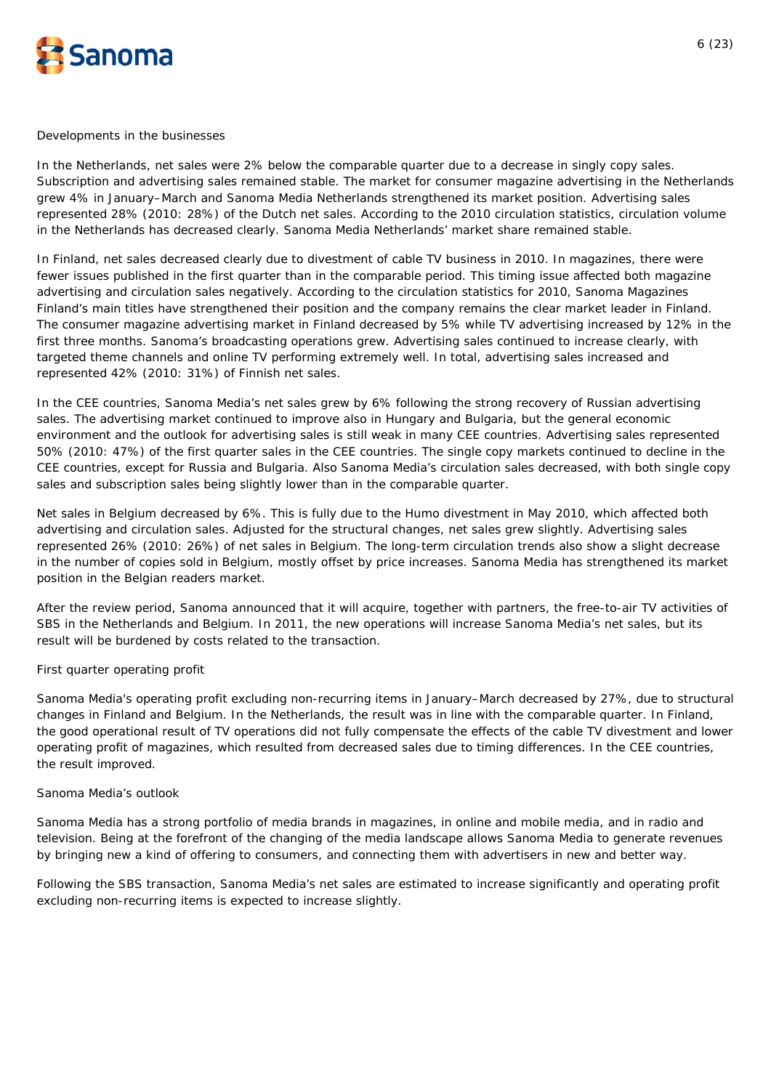

#### *Developments in the businesses*

In the Netherlands, net sales were 2% below the comparable quarter due to a decrease in singly copy sales. Subscription and advertising sales remained stable. The market for consumer magazine advertising in the Netherlands grew 4% in January–March and Sanoma Media Netherlands strengthened its market position. Advertising sales represented 28% (2010: 28%) of the Dutch net sales. According to the 2010 circulation statistics, circulation volume in the Netherlands has decreased clearly. Sanoma Media Netherlands' market share remained stable.

In Finland, net sales decreased clearly due to divestment of cable TV business in 2010. In magazines, there were fewer issues published in the first quarter than in the comparable period. This timing issue affected both magazine advertising and circulation sales negatively. According to the circulation statistics for 2010, Sanoma Magazines Finland's main titles have strengthened their position and the company remains the clear market leader in Finland. The consumer magazine advertising market in Finland decreased by 5% while TV advertising increased by 12% in the first three months. Sanoma's broadcasting operations grew. Advertising sales continued to increase clearly, with targeted theme channels and online TV performing extremely well. In total, advertising sales increased and represented 42% (2010: 31%) of Finnish net sales.

In the CEE countries, Sanoma Media's net sales grew by 6% following the strong recovery of Russian advertising sales. The advertising market continued to improve also in Hungary and Bulgaria, but the general economic environment and the outlook for advertising sales is still weak in many CEE countries. Advertising sales represented 50% (2010: 47%) of the first quarter sales in the CEE countries. The single copy markets continued to decline in the CEE countries, except for Russia and Bulgaria. Also Sanoma Media's circulation sales decreased, with both single copy sales and subscription sales being slightly lower than in the comparable quarter.

Net sales in Belgium decreased by 6%. This is fully due to the Humo divestment in May 2010, which affected both advertising and circulation sales. Adjusted for the structural changes, net sales grew slightly. Advertising sales represented 26% (2010: 26%) of net sales in Belgium. The long-term circulation trends also show a slight decrease in the number of copies sold in Belgium, mostly offset by price increases. Sanoma Media has strengthened its market position in the Belgian readers market.

After the review period, Sanoma announced that it will acquire, together with partners, the free-to-air TV activities of SBS in the Netherlands and Belgium. In 2011, the new operations will increase Sanoma Media's net sales, but its result will be burdened by costs related to the transaction.

# *First quarter operating profit*

Sanoma Media's operating profit excluding non-recurring items in January–March decreased by 27%, due to structural changes in Finland and Belgium. In the Netherlands, the result was in line with the comparable quarter. In Finland, the good operational result of TV operations did not fully compensate the effects of the cable TV divestment and lower operating profit of magazines, which resulted from decreased sales due to timing differences. In the CEE countries, the result improved.

# *Sanoma Media's outlook*

Sanoma Media has a strong portfolio of media brands in magazines, in online and mobile media, and in radio and television. Being at the forefront of the changing of the media landscape allows Sanoma Media to generate revenues by bringing new a kind of offering to consumers, and connecting them with advertisers in new and better way.

Following the SBS transaction, Sanoma Media's net sales are estimated to increase significantly and operating profit excluding non-recurring items is expected to increase slightly.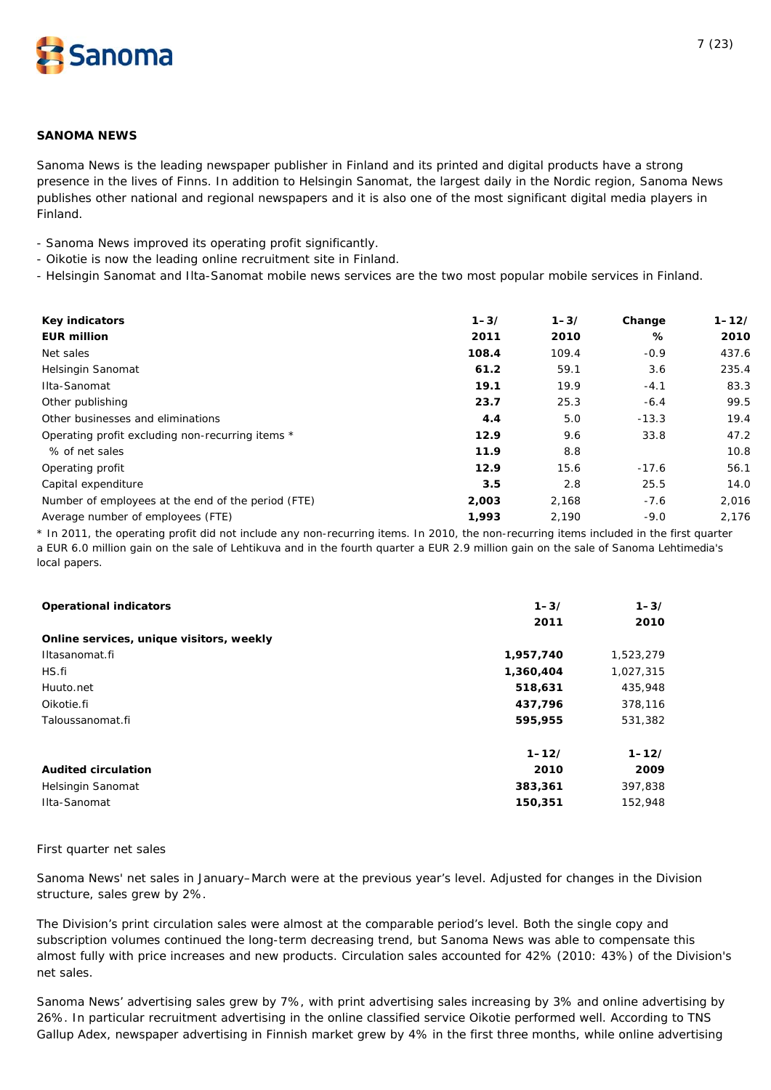

# **SANOMA NEWS**

*Sanoma News is the leading newspaper publisher in Finland and its printed and digital products have a strong presence in the lives of Finns. In addition to Helsingin Sanomat, the largest daily in the Nordic region, Sanoma News publishes other national and regional newspapers and it is also one of the most significant digital media players in Finland.* 

- Sanoma News improved its operating profit significantly.

- Oikotie is now the leading online recruitment site in Finland.

- Helsingin Sanomat and Ilta-Sanomat mobile news services are the two most popular mobile services in Finland.

| Key indicators                                     | $1 - 3/$ | $1 - 3/$ | Change  | $1 - 12/$ |
|----------------------------------------------------|----------|----------|---------|-----------|
| <b>EUR million</b>                                 | 2011     | 2010     | ℅       | 2010      |
| Net sales                                          | 108.4    | 109.4    | $-0.9$  | 437.6     |
| Helsingin Sanomat                                  | 61.2     | 59.1     | 3.6     | 235.4     |
| Ilta-Sanomat                                       | 19.1     | 19.9     | $-4.1$  | 83.3      |
| Other publishing                                   | 23.7     | 25.3     | $-6.4$  | 99.5      |
| Other businesses and eliminations                  | 4.4      | 5.0      | $-13.3$ | 19.4      |
| Operating profit excluding non-recurring items *   | 12.9     | 9.6      | 33.8    | 47.2      |
| % of net sales                                     | 11.9     | 8.8      |         | 10.8      |
| Operating profit                                   | 12.9     | 15.6     | $-17.6$ | 56.1      |
| Capital expenditure                                | 3.5      | 2.8      | 25.5    | 14.0      |
| Number of employees at the end of the period (FTE) | 2,003    | 2,168    | $-7.6$  | 2,016     |
| Average number of employees (FTE)                  | 1,993    | 2,190    | $-9.0$  | 2,176     |

\* In 2011, the operating profit did not include any non-recurring items. In 2010, the non-recurring items included in the first quarter a EUR 6.0 million gain on the sale of Lehtikuva and in the fourth quarter a EUR 2.9 million gain on the sale of Sanoma Lehtimedia's local papers.

| <b>Operational indicators</b>            | $1 - 3/$  | $1 - 3/$  |
|------------------------------------------|-----------|-----------|
|                                          | 2011      | 2010      |
| Online services, unique visitors, weekly |           |           |
| Iltasanomat.fi                           | 1,957,740 | 1,523,279 |
| HS.fi                                    | 1,360,404 | 1,027,315 |
| Huuto.net                                | 518,631   | 435,948   |
| Oikotie.fi                               | 437,796   | 378,116   |
| Taloussanomat.fi                         | 595,955   | 531,382   |
|                                          | $1 - 12/$ | $1 - 12/$ |
| <b>Audited circulation</b>               | 2010      | 2009      |
| Helsingin Sanomat                        | 383,361   | 397,838   |
| Ilta-Sanomat                             | 150,351   | 152,948   |

#### *First quarter net sales*

Sanoma News' net sales in January–March were at the previous year's level. Adjusted for changes in the Division structure, sales grew by 2%.

The Division's print circulation sales were almost at the comparable period's level. Both the single copy and subscription volumes continued the long-term decreasing trend, but Sanoma News was able to compensate this almost fully with price increases and new products. Circulation sales accounted for 42% (2010: 43%) of the Division's net sales.

Sanoma News' advertising sales grew by 7%, with print advertising sales increasing by 3% and online advertising by 26%. In particular recruitment advertising in the online classified service Oikotie performed well. According to TNS Gallup Adex, newspaper advertising in Finnish market grew by 4% in the first three months, while online advertising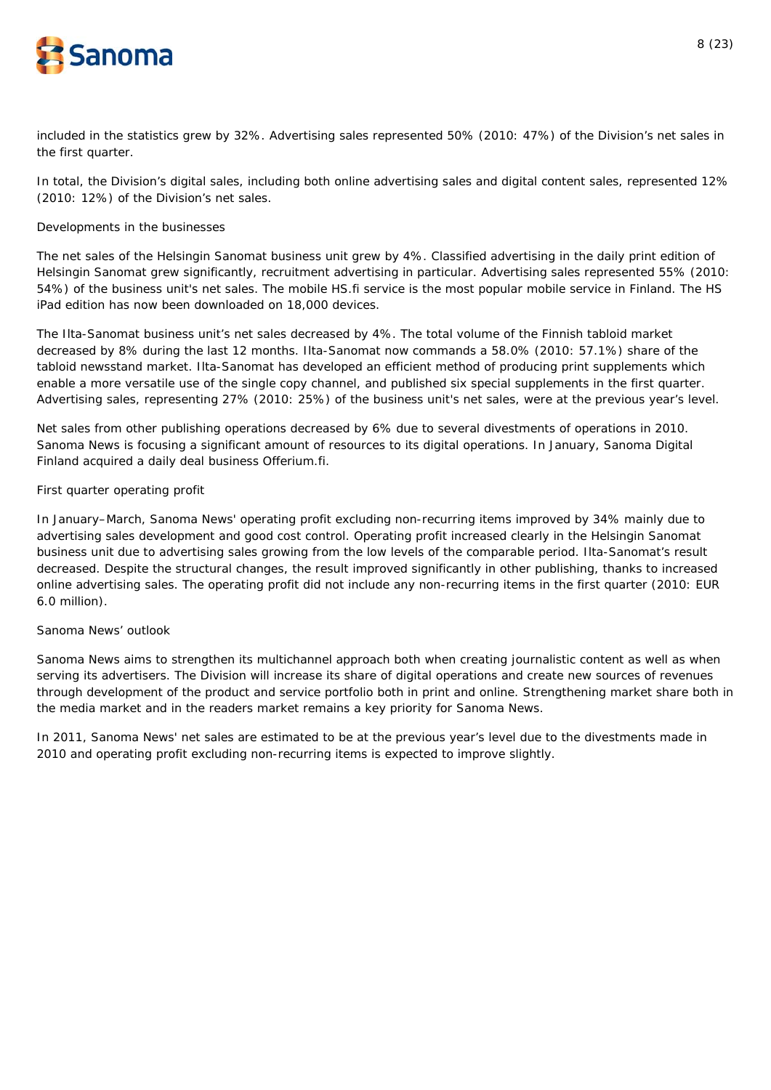

included in the statistics grew by 32%. Advertising sales represented 50% (2010: 47%) of the Division's net sales in the first quarter.

In total, the Division's digital sales, including both online advertising sales and digital content sales, represented 12% (2010: 12%) of the Division's net sales.

# *Developments in the businesses*

The net sales of the Helsingin Sanomat business unit grew by 4%. Classified advertising in the daily print edition of Helsingin Sanomat grew significantly, recruitment advertising in particular. Advertising sales represented 55% (2010: 54%) of the business unit's net sales. The mobile HS.fi service is the most popular mobile service in Finland. The HS iPad edition has now been downloaded on 18,000 devices.

The Ilta-Sanomat business unit's net sales decreased by 4%. The total volume of the Finnish tabloid market decreased by 8% during the last 12 months. Ilta-Sanomat now commands a 58.0% (2010: 57.1%) share of the tabloid newsstand market. Ilta-Sanomat has developed an efficient method of producing print supplements which enable a more versatile use of the single copy channel, and published six special supplements in the first quarter. Advertising sales, representing 27% (2010: 25%) of the business unit's net sales, were at the previous year's level.

Net sales from other publishing operations decreased by 6% due to several divestments of operations in 2010. Sanoma News is focusing a significant amount of resources to its digital operations. In January, Sanoma Digital Finland acquired a daily deal business Offerium.fi.

# *First quarter operating profit*

In January–March, Sanoma News' operating profit excluding non-recurring items improved by 34% mainly due to advertising sales development and good cost control. Operating profit increased clearly in the Helsingin Sanomat business unit due to advertising sales growing from the low levels of the comparable period. Ilta-Sanomat's result decreased. Despite the structural changes, the result improved significantly in other publishing, thanks to increased online advertising sales. The operating profit did not include any non-recurring items in the first quarter (2010: EUR 6.0 million).

# *Sanoma News' outlook*

Sanoma News aims to strengthen its multichannel approach both when creating journalistic content as well as when serving its advertisers. The Division will increase its share of digital operations and create new sources of revenues through development of the product and service portfolio both in print and online. Strengthening market share both in the media market and in the readers market remains a key priority for Sanoma News.

In 2011, Sanoma News' net sales are estimated to be at the previous year's level due to the divestments made in 2010 and operating profit excluding non-recurring items is expected to improve slightly.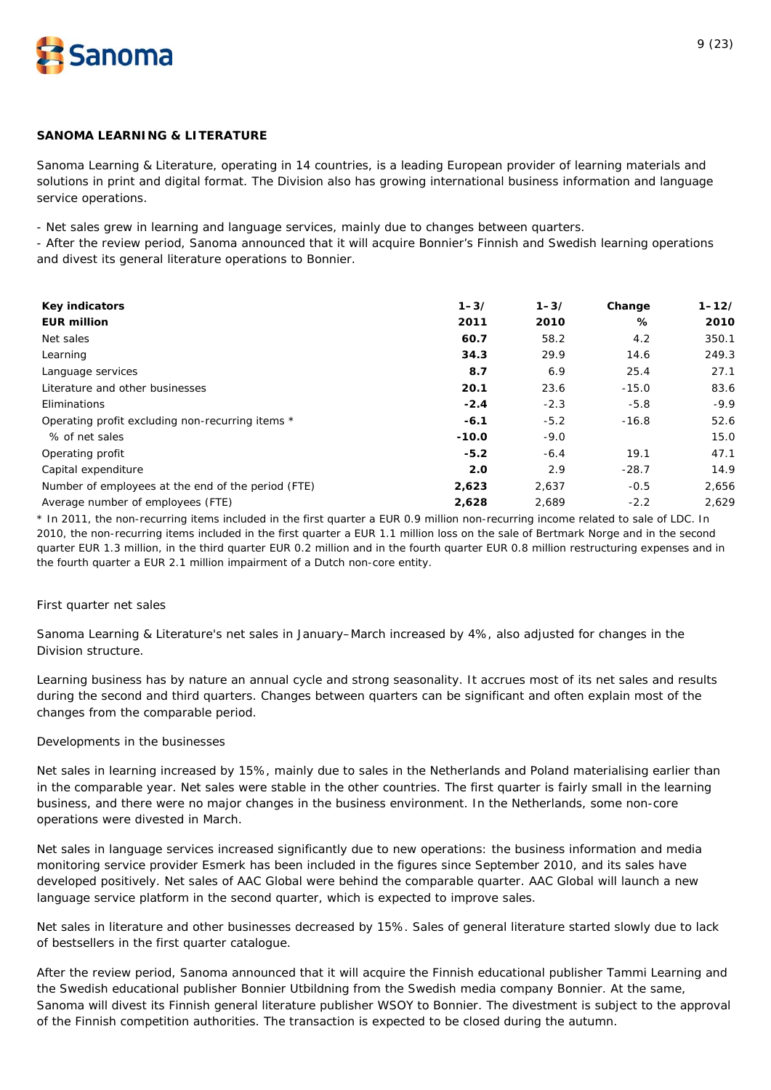

# **SANOMA LEARNING & LITERATURE**

*Sanoma Learning & Literature, operating in 14 countries, is a leading European provider of learning materials and solutions in print and digital format. The Division also has growing international business information and language service operations.*

- Net sales grew in learning and language services, mainly due to changes between quarters.

- After the review period, Sanoma announced that it will acquire Bonnier's Finnish and Swedish learning operations and divest its general literature operations to Bonnier.

| <b>Key indicators</b>                              | $1 - 3/$ | $1 - 3/$ | Change  | $1 - 12/$ |
|----------------------------------------------------|----------|----------|---------|-----------|
| <b>EUR million</b>                                 | 2011     | 2010     | %       | 2010      |
| Net sales                                          | 60.7     | 58.2     | 4.2     | 350.1     |
| Learning                                           | 34.3     | 29.9     | 14.6    | 249.3     |
| Language services                                  | 8.7      | 6.9      | 25.4    | 27.1      |
| Literature and other businesses                    | 20.1     | 23.6     | $-15.0$ | 83.6      |
| Eliminations                                       | $-2.4$   | $-2.3$   | $-5.8$  | $-9.9$    |
| Operating profit excluding non-recurring items *   | $-6.1$   | $-5.2$   | $-16.8$ | 52.6      |
| % of net sales                                     | $-10.0$  | $-9.0$   |         | 15.0      |
| Operating profit                                   | $-5.2$   | $-6.4$   | 19.1    | 47.1      |
| Capital expenditure                                | 2.0      | 2.9      | $-28.7$ | 14.9      |
| Number of employees at the end of the period (FTE) | 2,623    | 2.637    | $-0.5$  | 2,656     |
| Average number of employees (FTE)                  | 2,628    | 2,689    | $-2.2$  | 2.629     |

\* In 2011, the non-recurring items included in the first quarter a EUR 0.9 million non-recurring income related to sale of LDC. In 2010, the non-recurring items included in the first quarter a EUR 1.1 million loss on the sale of Bertmark Norge and in the second quarter EUR 1.3 million, in the third quarter EUR 0.2 million and in the fourth quarter EUR 0.8 million restructuring expenses and in the fourth quarter a EUR 2.1 million impairment of a Dutch non-core entity.

# *First quarter net sales*

Sanoma Learning & Literature's net sales in January–March increased by 4%, also adjusted for changes in the Division structure.

Learning business has by nature an annual cycle and strong seasonality. It accrues most of its net sales and results during the second and third quarters. Changes between quarters can be significant and often explain most of the changes from the comparable period.

#### *Developments in the businesses*

Net sales in learning increased by 15%, mainly due to sales in the Netherlands and Poland materialising earlier than in the comparable year. Net sales were stable in the other countries. The first quarter is fairly small in the learning business, and there were no major changes in the business environment. In the Netherlands, some non-core operations were divested in March.

Net sales in language services increased significantly due to new operations: the business information and media monitoring service provider Esmerk has been included in the figures since September 2010, and its sales have developed positively. Net sales of AAC Global were behind the comparable quarter. AAC Global will launch a new language service platform in the second quarter, which is expected to improve sales.

Net sales in literature and other businesses decreased by 15%. Sales of general literature started slowly due to lack of bestsellers in the first quarter catalogue.

After the review period, Sanoma announced that it will acquire the Finnish educational publisher Tammi Learning and the Swedish educational publisher Bonnier Utbildning from the Swedish media company Bonnier. At the same, Sanoma will divest its Finnish general literature publisher WSOY to Bonnier. The divestment is subject to the approval of the Finnish competition authorities. The transaction is expected to be closed during the autumn.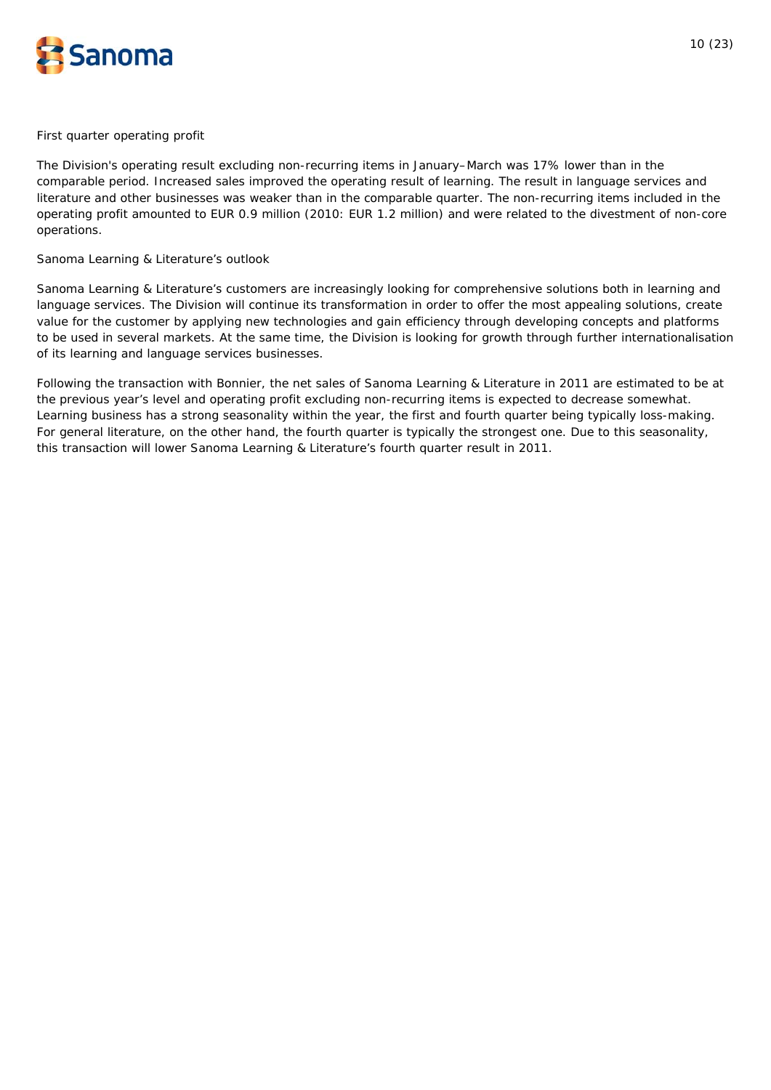

#### *First quarter operating profit*

The Division's operating result excluding non-recurring items in January–March was 17% lower than in the comparable period. Increased sales improved the operating result of learning. The result in language services and literature and other businesses was weaker than in the comparable quarter. The non-recurring items included in the operating profit amounted to EUR 0.9 million (2010: EUR 1.2 million) and were related to the divestment of non-core operations.

#### *Sanoma Learning & Literature's outlook*

Sanoma Learning & Literature's customers are increasingly looking for comprehensive solutions both in learning and language services. The Division will continue its transformation in order to offer the most appealing solutions, create value for the customer by applying new technologies and gain efficiency through developing concepts and platforms to be used in several markets. At the same time, the Division is looking for growth through further internationalisation of its learning and language services businesses.

Following the transaction with Bonnier, the net sales of Sanoma Learning & Literature in 2011 are estimated to be at the previous year's level and operating profit excluding non-recurring items is expected to decrease somewhat. Learning business has a strong seasonality within the year, the first and fourth quarter being typically loss-making. For general literature, on the other hand, the fourth quarter is typically the strongest one. Due to this seasonality, this transaction will lower Sanoma Learning & Literature's fourth quarter result in 2011.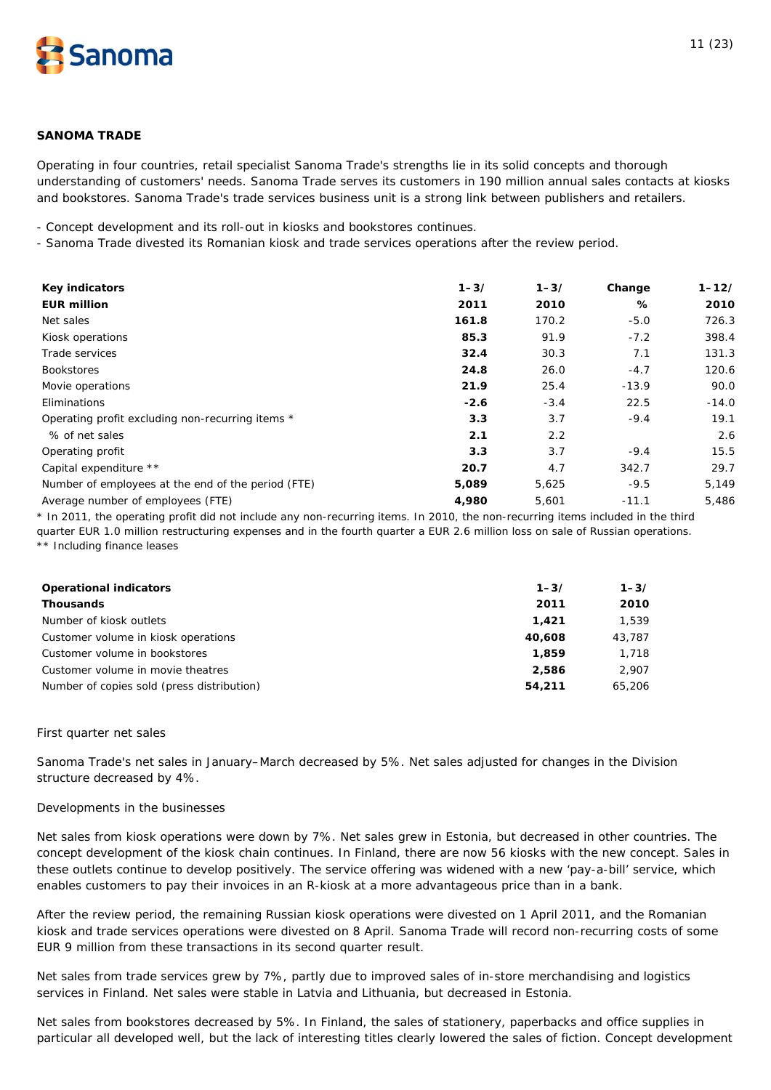

# **SANOMA TRADE**

*Operating in four countries, retail specialist Sanoma Trade's strengths lie in its solid concepts and thorough understanding of customers' needs. Sanoma Trade serves its customers in 190 million annual sales contacts at kiosks and bookstores. Sanoma Trade's trade services business unit is a strong link between publishers and retailers.* 

- Concept development and its roll-out in kiosks and bookstores continues.

- Sanoma Trade divested its Romanian kiosk and trade services operations after the review period.

| <b>Key indicators</b>                              | $1 - 3/$ | $1 - 3/$ | Change  | $1 - 12/$ |
|----------------------------------------------------|----------|----------|---------|-----------|
| <b>EUR million</b>                                 | 2011     | 2010     | %       | 2010      |
| Net sales                                          | 161.8    | 170.2    | $-5.0$  | 726.3     |
| Kiosk operations                                   | 85.3     | 91.9     | $-7.2$  | 398.4     |
| Trade services                                     | 32.4     | 30.3     | 7.1     | 131.3     |
| <b>Bookstores</b>                                  | 24.8     | 26.0     | $-4.7$  | 120.6     |
| Movie operations                                   | 21.9     | 25.4     | $-13.9$ | 90.0      |
| Eliminations                                       | $-2.6$   | $-3.4$   | 22.5    | $-14.0$   |
| Operating profit excluding non-recurring items *   | 3.3      | 3.7      | $-9.4$  | 19.1      |
| % of net sales                                     | 2.1      | 2.2      |         | 2.6       |
| Operating profit                                   | 3.3      | 3.7      | $-9.4$  | 15.5      |
| Capital expenditure **                             | 20.7     | 4.7      | 342.7   | 29.7      |
| Number of employees at the end of the period (FTE) | 5,089    | 5,625    | $-9.5$  | 5,149     |
| Average number of employees (FTE)                  | 4,980    | 5,601    | $-11.1$ | 5,486     |

\* In 2011, the operating profit did not include any non-recurring items. In 2010, the non-recurring items included in the third quarter EUR 1.0 million restructuring expenses and in the fourth quarter a EUR 2.6 million loss on sale of Russian operations. \*\* Including finance leases

| <b>Operational indicators</b>              | $1 - 3/$ | $1 - 3/$ |
|--------------------------------------------|----------|----------|
| <b>Thousands</b>                           | 2011     | 2010     |
| Number of kiosk outlets                    | 1.421    | 1.539    |
| Customer volume in kiosk operations        | 40.608   | 43,787   |
| Customer volume in bookstores              | 1,859    | 1,718    |
| Customer volume in movie theatres          | 2,586    | 2,907    |
| Number of copies sold (press distribution) | 54,211   | 65,206   |

#### *First quarter net sales*

Sanoma Trade's net sales in January–March decreased by 5%. Net sales adjusted for changes in the Division structure decreased by 4%.

#### *Developments in the businesses*

Net sales from kiosk operations were down by 7%. Net sales grew in Estonia, but decreased in other countries. The concept development of the kiosk chain continues. In Finland, there are now 56 kiosks with the new concept. Sales in these outlets continue to develop positively. The service offering was widened with a new 'pay-a-bill' service, which enables customers to pay their invoices in an R-kiosk at a more advantageous price than in a bank.

After the review period, the remaining Russian kiosk operations were divested on 1 April 2011, and the Romanian kiosk and trade services operations were divested on 8 April. Sanoma Trade will record non-recurring costs of some EUR 9 million from these transactions in its second quarter result.

Net sales from trade services grew by 7%, partly due to improved sales of in-store merchandising and logistics services in Finland. Net sales were stable in Latvia and Lithuania, but decreased in Estonia.

Net sales from bookstores decreased by 5%. In Finland, the sales of stationery, paperbacks and office supplies in particular all developed well, but the lack of interesting titles clearly lowered the sales of fiction. Concept development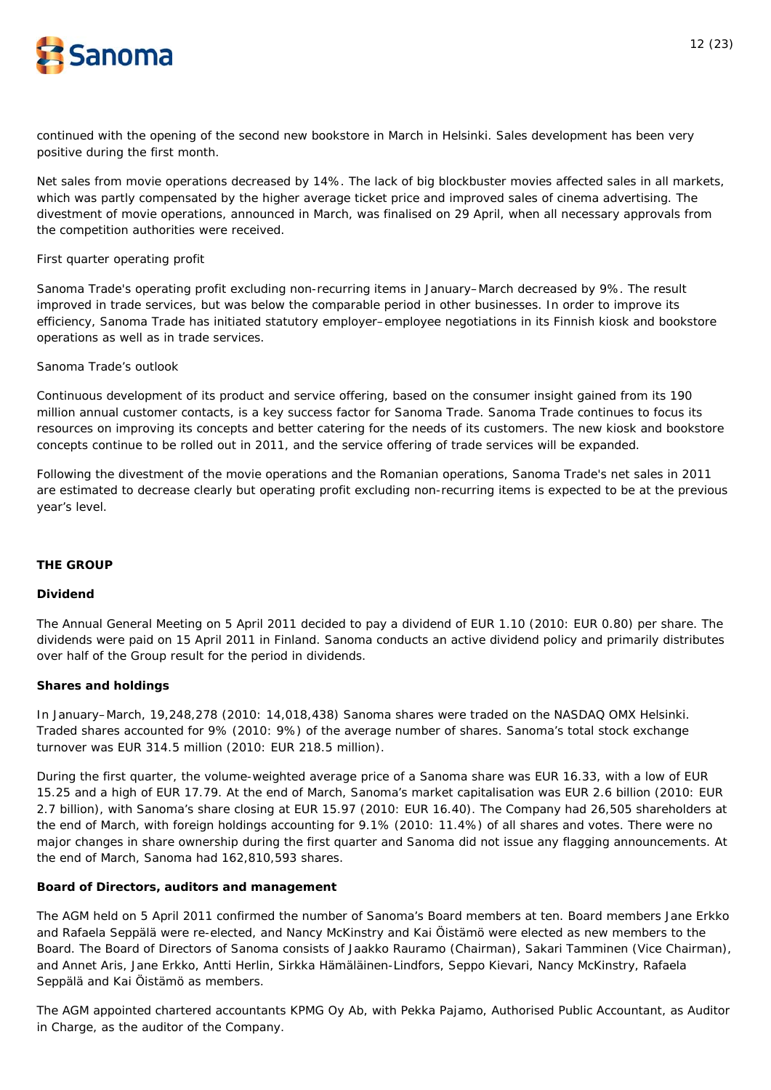

continued with the opening of the second new bookstore in March in Helsinki. Sales development has been very positive during the first month.

Net sales from movie operations decreased by 14%. The lack of big blockbuster movies affected sales in all markets, which was partly compensated by the higher average ticket price and improved sales of cinema advertising. The divestment of movie operations, announced in March, was finalised on 29 April, when all necessary approvals from the competition authorities were received.

### *First quarter operating profit*

Sanoma Trade's operating profit excluding non-recurring items in January–March decreased by 9%. The result improved in trade services, but was below the comparable period in other businesses. In order to improve its efficiency, Sanoma Trade has initiated statutory employer–employee negotiations in its Finnish kiosk and bookstore operations as well as in trade services.

#### *Sanoma Trade's outlook*

Continuous development of its product and service offering, based on the consumer insight gained from its 190 million annual customer contacts, is a key success factor for Sanoma Trade. Sanoma Trade continues to focus its resources on improving its concepts and better catering for the needs of its customers. The new kiosk and bookstore concepts continue to be rolled out in 2011, and the service offering of trade services will be expanded.

Following the divestment of the movie operations and the Romanian operations, Sanoma Trade's net sales in 2011 are estimated to decrease clearly but operating profit excluding non-recurring items is expected to be at the previous year's level.

# **THE GROUP**

#### **Dividend**

The Annual General Meeting on 5 April 2011 decided to pay a dividend of EUR 1.10 (2010: EUR 0.80) per share. The dividends were paid on 15 April 2011 in Finland. Sanoma conducts an active dividend policy and primarily distributes over half of the Group result for the period in dividends.

#### **Shares and holdings**

In January–March, 19,248,278 (2010: 14,018,438) Sanoma shares were traded on the NASDAQ OMX Helsinki. Traded shares accounted for 9% (2010: 9%) of the average number of shares. Sanoma's total stock exchange turnover was EUR 314.5 million (2010: EUR 218.5 million).

During the first quarter, the volume-weighted average price of a Sanoma share was EUR 16.33, with a low of EUR 15.25 and a high of EUR 17.79. At the end of March, Sanoma's market capitalisation was EUR 2.6 billion (2010: EUR 2.7 billion), with Sanoma's share closing at EUR 15.97 (2010: EUR 16.40). The Company had 26,505 shareholders at the end of March, with foreign holdings accounting for 9.1% (2010: 11.4%) of all shares and votes. There were no major changes in share ownership during the first quarter and Sanoma did not issue any flagging announcements. At the end of March, Sanoma had 162,810,593 shares.

# **Board of Directors, auditors and management**

The AGM held on 5 April 2011 confirmed the number of Sanoma's Board members at ten. Board members Jane Erkko and Rafaela Seppälä were re-elected, and Nancy McKinstry and Kai Öistämö were elected as new members to the Board. The Board of Directors of Sanoma consists of Jaakko Rauramo (Chairman), Sakari Tamminen (Vice Chairman), and Annet Aris, Jane Erkko, Antti Herlin, Sirkka Hämäläinen-Lindfors, Seppo Kievari, Nancy McKinstry, Rafaela Seppälä and Kai Öistämö as members.

The AGM appointed chartered accountants KPMG Oy Ab, with Pekka Pajamo, Authorised Public Accountant, as Auditor in Charge, as the auditor of the Company.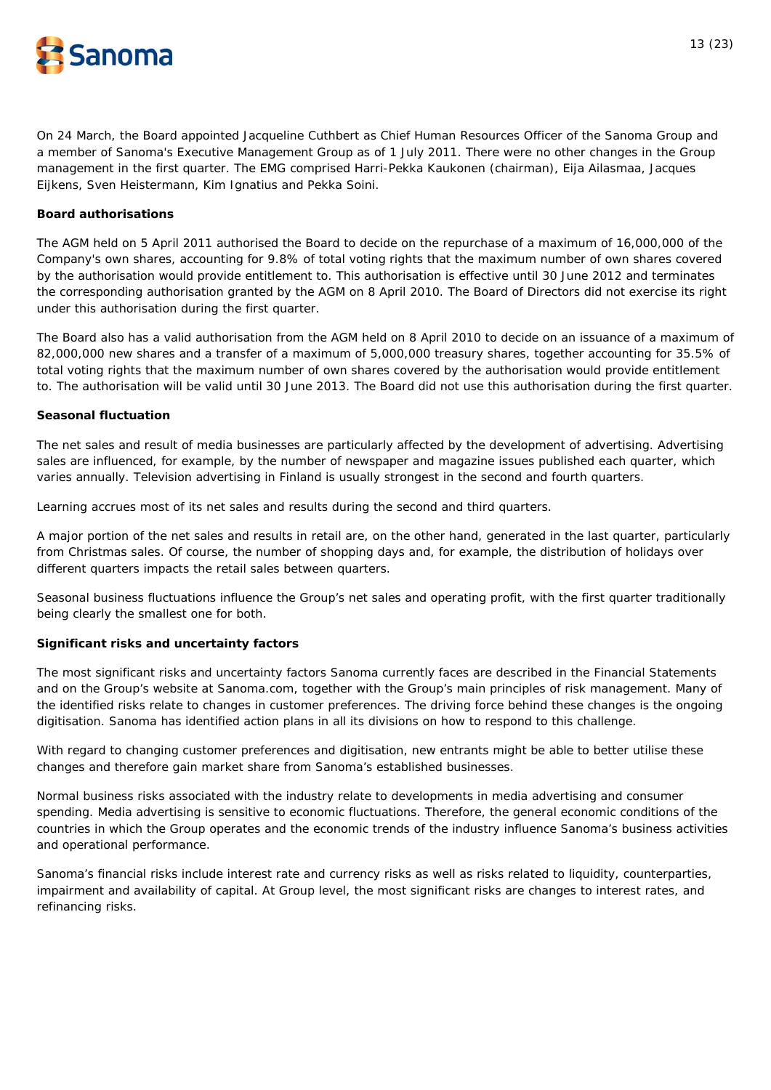

On 24 March, the Board appointed Jacqueline Cuthbert as Chief Human Resources Officer of the Sanoma Group and a member of Sanoma's Executive Management Group as of 1 July 2011. There were no other changes in the Group management in the first quarter. The EMG comprised Harri-Pekka Kaukonen (chairman), Eija Ailasmaa, Jacques Eijkens, Sven Heistermann, Kim Ignatius and Pekka Soini.

# **Board authorisations**

The AGM held on 5 April 2011 authorised the Board to decide on the repurchase of a maximum of 16,000,000 of the Company's own shares, accounting for 9.8% of total voting rights that the maximum number of own shares covered by the authorisation would provide entitlement to. This authorisation is effective until 30 June 2012 and terminates the corresponding authorisation granted by the AGM on 8 April 2010. The Board of Directors did not exercise its right under this authorisation during the first quarter.

The Board also has a valid authorisation from the AGM held on 8 April 2010 to decide on an issuance of a maximum of 82,000,000 new shares and a transfer of a maximum of 5,000,000 treasury shares, together accounting for 35.5% of total voting rights that the maximum number of own shares covered by the authorisation would provide entitlement to. The authorisation will be valid until 30 June 2013. The Board did not use this authorisation during the first quarter.

# **Seasonal fluctuation**

The net sales and result of media businesses are particularly affected by the development of advertising. Advertising sales are influenced, for example, by the number of newspaper and magazine issues published each quarter, which varies annually. Television advertising in Finland is usually strongest in the second and fourth quarters.

Learning accrues most of its net sales and results during the second and third quarters.

A major portion of the net sales and results in retail are, on the other hand, generated in the last quarter, particularly from Christmas sales. Of course, the number of shopping days and, for example, the distribution of holidays over different quarters impacts the retail sales between quarters.

Seasonal business fluctuations influence the Group's net sales and operating profit, with the first quarter traditionally being clearly the smallest one for both.

# **Significant risks and uncertainty factors**

The most significant risks and uncertainty factors Sanoma currently faces are described in the Financial Statements and on the Group's website at Sanoma.com, together with the Group's main principles of risk management. Many of the identified risks relate to changes in customer preferences. The driving force behind these changes is the ongoing digitisation. Sanoma has identified action plans in all its divisions on how to respond to this challenge.

With regard to changing customer preferences and digitisation, new entrants might be able to better utilise these changes and therefore gain market share from Sanoma's established businesses.

Normal business risks associated with the industry relate to developments in media advertising and consumer spending. Media advertising is sensitive to economic fluctuations. Therefore, the general economic conditions of the countries in which the Group operates and the economic trends of the industry influence Sanoma's business activities and operational performance.

Sanoma's financial risks include interest rate and currency risks as well as risks related to liquidity, counterparties, impairment and availability of capital. At Group level, the most significant risks are changes to interest rates, and refinancing risks.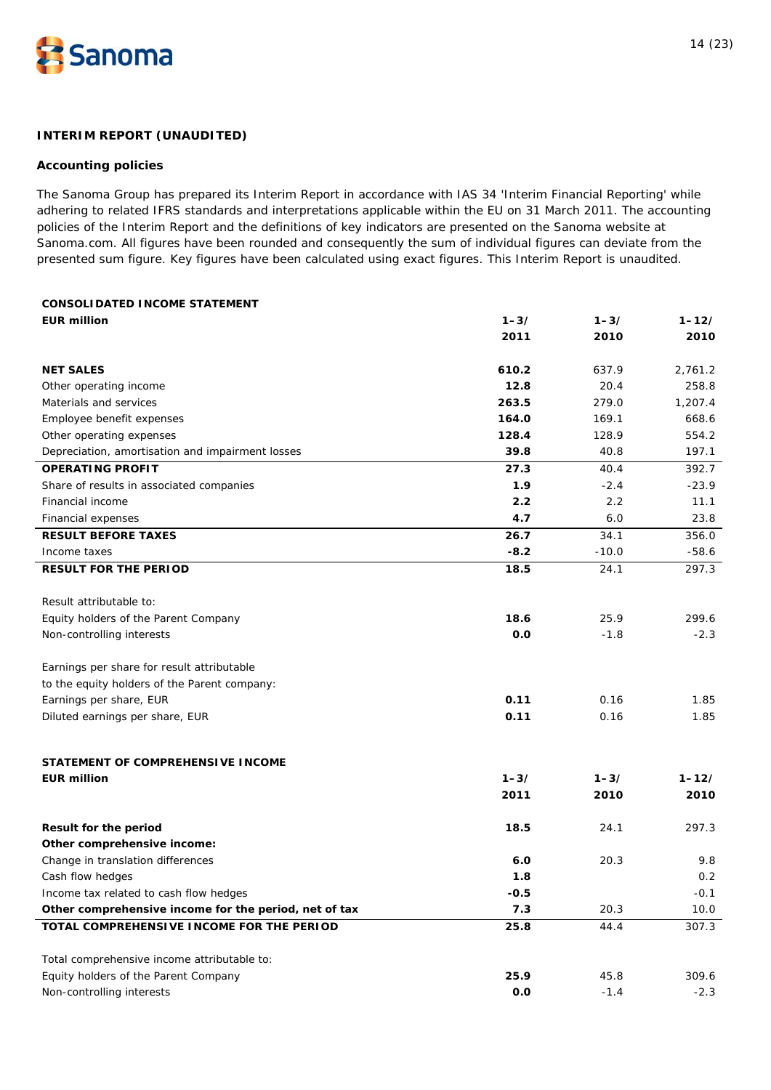

# **INTERIM REPORT (UNAUDITED)**

#### **Accounting policies**

The Sanoma Group has prepared its Interim Report in accordance with IAS 34 'Interim Financial Reporting' while adhering to related IFRS standards and interpretations applicable within the EU on 31 March 2011. The accounting policies of the Interim Report and the definitions of key indicators are presented on the Sanoma website at Sanoma.com. All figures have been rounded and consequently the sum of individual figures can deviate from the presented sum figure. Key figures have been calculated using exact figures. This Interim Report is unaudited.

| <b>CONSOLIDATED INCOME STATEMENT</b>                  |          |          |           |
|-------------------------------------------------------|----------|----------|-----------|
| <b>EUR million</b>                                    | $1 - 3/$ | $1 - 3/$ | $1 - 12/$ |
|                                                       | 2011     | 2010     | 2010      |
| <b>NET SALES</b>                                      | 610.2    | 637.9    | 2,761.2   |
| Other operating income                                | 12.8     | 20.4     | 258.8     |
| Materials and services                                | 263.5    | 279.0    | 1,207.4   |
| Employee benefit expenses                             | 164.0    | 169.1    | 668.6     |
| Other operating expenses                              | 128.4    | 128.9    | 554.2     |
| Depreciation, amortisation and impairment losses      | 39.8     | 40.8     | 197.1     |
| <b>OPERATING PROFIT</b>                               | 27.3     | 40.4     | 392.7     |
| Share of results in associated companies              | 1.9      | $-2.4$   | $-23.9$   |
| Financial income                                      | 2.2      | 2.2      | 11.1      |
| Financial expenses                                    | 4.7      | 6.0      | 23.8      |
| <b>RESULT BEFORE TAXES</b>                            | 26.7     | 34.1     | 356.0     |
| Income taxes                                          | $-8.2$   | $-10.0$  | $-58.6$   |
| <b>RESULT FOR THE PERIOD</b>                          | 18.5     | 24.1     | 297.3     |
| Result attributable to:                               |          |          |           |
| Equity holders of the Parent Company                  | 18.6     | 25.9     | 299.6     |
| Non-controlling interests                             | 0.0      | $-1.8$   | $-2.3$    |
| Earnings per share for result attributable            |          |          |           |
| to the equity holders of the Parent company:          |          |          |           |
| Earnings per share, EUR                               | 0.11     | 0.16     | 1.85      |
| Diluted earnings per share, EUR                       | 0.11     | 0.16     | 1.85      |
| STATEMENT OF COMPREHENSIVE INCOME                     |          |          |           |
| <b>EUR million</b>                                    | $1 - 3/$ | $1 - 3/$ | $1 - 12/$ |
|                                                       | 2011     | 2010     | 2010      |
| Result for the period                                 | 18.5     | 24.1     | 297.3     |
| Other comprehensive income:                           |          |          |           |
| Change in translation differences                     | 6.0      | 20.3     | 9.8       |
| Cash flow hedges                                      | 1.8      |          | 0.2       |
| Income tax related to cash flow hedges                | $-0.5$   |          | $-0.1$    |
| Other comprehensive income for the period, net of tax | 7.3      | 20.3     | 10.0      |
| TOTAL COMPREHENSIVE INCOME FOR THE PERIOD             | 25.8     | 44.4     | 307.3     |
| Total comprehensive income attributable to:           |          |          |           |
| Equity holders of the Parent Company                  | 25.9     | 45.8     | 309.6     |
| Non-controlling interests                             | 0.0      | $-1.4$   | $-2.3$    |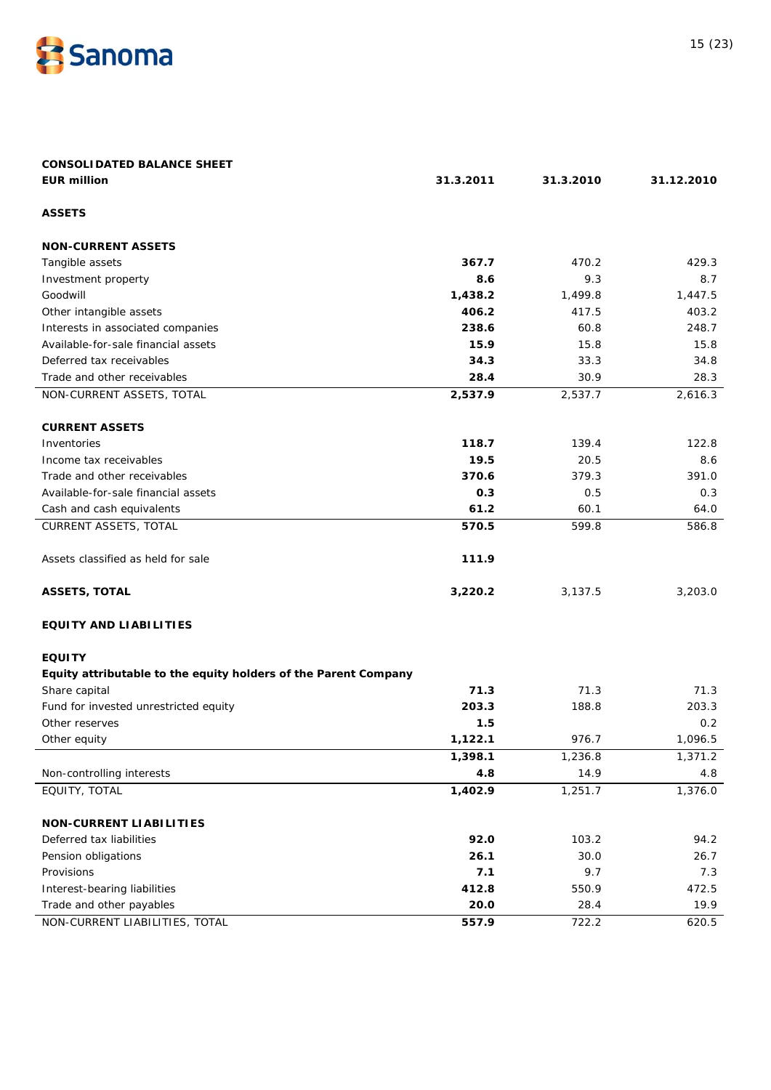

| <b>CONSOLIDATED BALANCE SHEET</b>                               |           |           |            |
|-----------------------------------------------------------------|-----------|-----------|------------|
| <b>EUR million</b>                                              | 31.3.2011 | 31.3.2010 | 31.12.2010 |
| <b>ASSETS</b>                                                   |           |           |            |
| <b>NON-CURRENT ASSETS</b>                                       |           |           |            |
| Tangible assets                                                 | 367.7     | 470.2     | 429.3      |
| Investment property                                             | 8.6       | 9.3       | 8.7        |
| Goodwill                                                        | 1,438.2   | 1,499.8   | 1,447.5    |
| Other intangible assets                                         | 406.2     | 417.5     | 403.2      |
| Interests in associated companies                               | 238.6     | 60.8      | 248.7      |
| Available-for-sale financial assets                             | 15.9      | 15.8      | 15.8       |
| Deferred tax receivables                                        | 34.3      | 33.3      | 34.8       |
| Trade and other receivables                                     | 28.4      | 30.9      | 28.3       |
| NON-CURRENT ASSETS, TOTAL                                       | 2,537.9   | 2,537.7   | 2,616.3    |
| <b>CURRENT ASSETS</b>                                           |           |           |            |
| Inventories                                                     | 118.7     | 139.4     | 122.8      |
| Income tax receivables                                          | 19.5      | 20.5      | 8.6        |
| Trade and other receivables                                     | 370.6     | 379.3     | 391.0      |
| Available-for-sale financial assets                             | 0.3       | 0.5       | 0.3        |
| Cash and cash equivalents                                       | 61.2      | 60.1      | 64.0       |
| CURRENT ASSETS, TOTAL                                           | 570.5     | 599.8     | 586.8      |
|                                                                 |           |           |            |
| Assets classified as held for sale                              | 111.9     |           |            |
| <b>ASSETS, TOTAL</b>                                            | 3,220.2   | 3,137.5   | 3,203.0    |
| <b>EQUITY AND LIABILITIES</b>                                   |           |           |            |
| <b>EQUITY</b>                                                   |           |           |            |
| Equity attributable to the equity holders of the Parent Company |           |           |            |
| Share capital                                                   | 71.3      | 71.3      | 71.3       |
| Fund for invested unrestricted equity                           | 203.3     | 188.8     | 203.3      |
| Other reserves                                                  | 1.5       |           | 0.2        |
| Other equity                                                    | 1,122.1   | 976.7     | 1,096.5    |
|                                                                 | 1,398.1   | 1,236.8   | 1,371.2    |
| Non-controlling interests                                       | 4.8       | 14.9      | 4.8        |
| EQUITY, TOTAL                                                   | 1,402.9   | 1,251.7   | 1,376.0    |
| <b>NON-CURRENT LIABILITIES</b>                                  |           |           |            |
| Deferred tax liabilities                                        | 92.0      | 103.2     | 94.2       |
| Pension obligations                                             | 26.1      | 30.0      | 26.7       |
| Provisions                                                      | 7.1       | 9.7       | 7.3        |
| Interest-bearing liabilities                                    | 412.8     | 550.9     | 472.5      |
| Trade and other payables                                        | 20.0      | 28.4      | 19.9       |
| NON-CURRENT LIABILITIES, TOTAL                                  | 557.9     | 722.2     | 620.5      |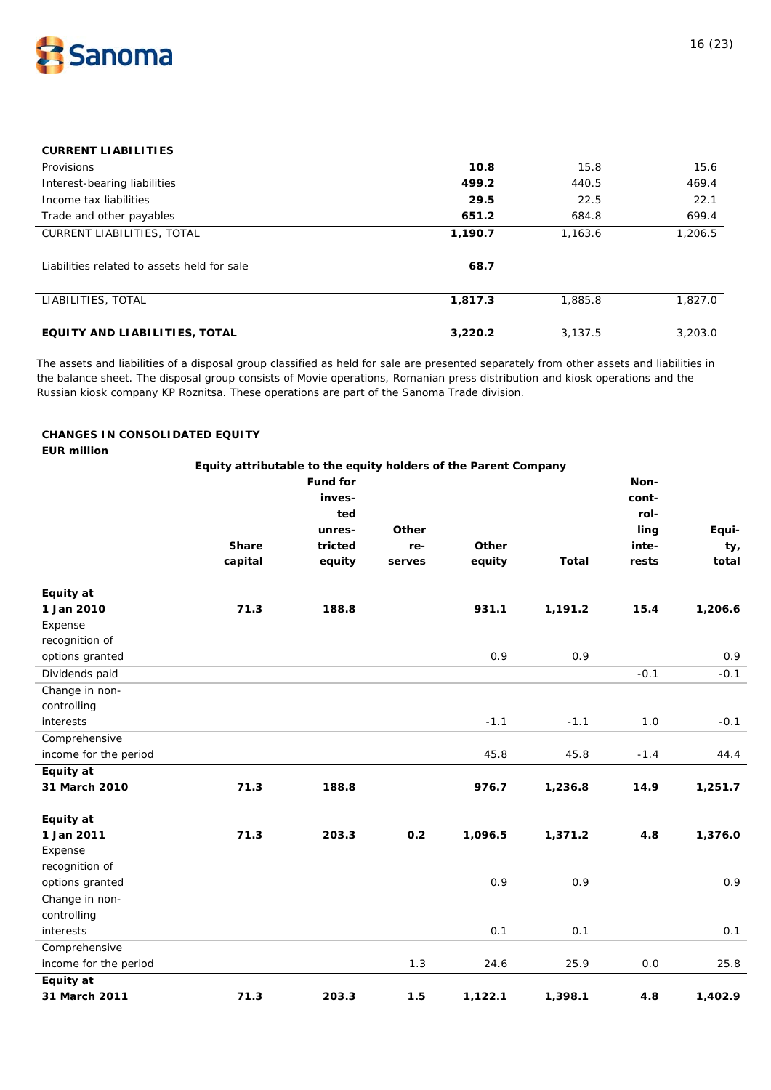

# **CURRENT LIABILITIES**

| Provisions                                  | 10.8    | 15.8    | 15.6    |
|---------------------------------------------|---------|---------|---------|
| Interest-bearing liabilities                | 499.2   | 440.5   | 469.4   |
| Income tax liabilities                      | 29.5    | 22.5    | 22.1    |
| Trade and other payables                    | 651.2   | 684.8   | 699.4   |
| <b>CURRENT LIABILITIES, TOTAL</b>           | 1,190.7 | 1,163.6 | 1,206.5 |
| Liabilities related to assets held for sale | 68.7    |         |         |
| LIABILITIES, TOTAL                          | 1,817.3 | 1,885.8 | 1,827.0 |
| EQUITY AND LIABILITIES, TOTAL               | 3,220.2 | 3.137.5 | 3,203.0 |

The assets and liabilities of a disposal group classified as held for sale are presented separately from other assets and liabilities in the balance sheet. The disposal group consists of Movie operations, Romanian press distribution and kiosk operations and the Russian kiosk company KP Roznitsa. These operations are part of the Sanoma Trade division.

### **CHANGES IN CONSOLIDATED EQUITY EUR million**

|                       | Equity attributable to the equity holders of the Parent Company |                 |        |         |              |        |         |
|-----------------------|-----------------------------------------------------------------|-----------------|--------|---------|--------------|--------|---------|
|                       |                                                                 | <b>Fund for</b> |        |         |              | Non-   |         |
|                       |                                                                 | inves-          |        |         |              | cont-  |         |
|                       |                                                                 | ted             |        |         |              | rol-   |         |
|                       |                                                                 | unres-          | Other  |         |              | ling   | Equi-   |
|                       | <b>Share</b>                                                    | tricted         | re-    | Other   |              | inte-  | ty,     |
|                       | capital                                                         | equity          | serves | equity  | <b>Total</b> | rests  | total   |
| Equity at             |                                                                 |                 |        |         |              |        |         |
| 1 Jan 2010            | 71.3                                                            | 188.8           |        | 931.1   | 1,191.2      | 15.4   | 1,206.6 |
| Expense               |                                                                 |                 |        |         |              |        |         |
| recognition of        |                                                                 |                 |        |         |              |        |         |
| options granted       |                                                                 |                 |        | 0.9     | 0.9          |        | 0.9     |
| Dividends paid        |                                                                 |                 |        |         |              | $-0.1$ | $-0.1$  |
| Change in non-        |                                                                 |                 |        |         |              |        |         |
| controlling           |                                                                 |                 |        |         |              |        |         |
| interests             |                                                                 |                 |        | $-1.1$  | $-1.1$       | $1.0$  | $-0.1$  |
| Comprehensive         |                                                                 |                 |        |         |              |        |         |
| income for the period |                                                                 |                 |        | 45.8    | 45.8         | $-1.4$ | 44.4    |
| Equity at             |                                                                 |                 |        |         |              |        |         |
| 31 March 2010         | 71.3                                                            | 188.8           |        | 976.7   | 1,236.8      | 14.9   | 1,251.7 |
| Equity at             |                                                                 |                 |        |         |              |        |         |
| 1 Jan 2011            | 71.3                                                            | 203.3           | 0.2    | 1,096.5 | 1,371.2      | 4.8    | 1,376.0 |
| Expense               |                                                                 |                 |        |         |              |        |         |
| recognition of        |                                                                 |                 |        |         |              |        |         |
| options granted       |                                                                 |                 |        | 0.9     | 0.9          |        | 0.9     |
| Change in non-        |                                                                 |                 |        |         |              |        |         |
| controlling           |                                                                 |                 |        |         |              |        |         |
| interests             |                                                                 |                 |        | 0.1     | 0.1          |        | 0.1     |
| Comprehensive         |                                                                 |                 |        |         |              |        |         |
| income for the period |                                                                 |                 | 1.3    | 24.6    | 25.9         | 0.0    | 25.8    |
| Equity at             |                                                                 |                 |        |         |              |        |         |
| 31 March 2011         | 71.3                                                            | 203.3           | 1.5    | 1,122.1 | 1,398.1      | 4.8    | 1,402.9 |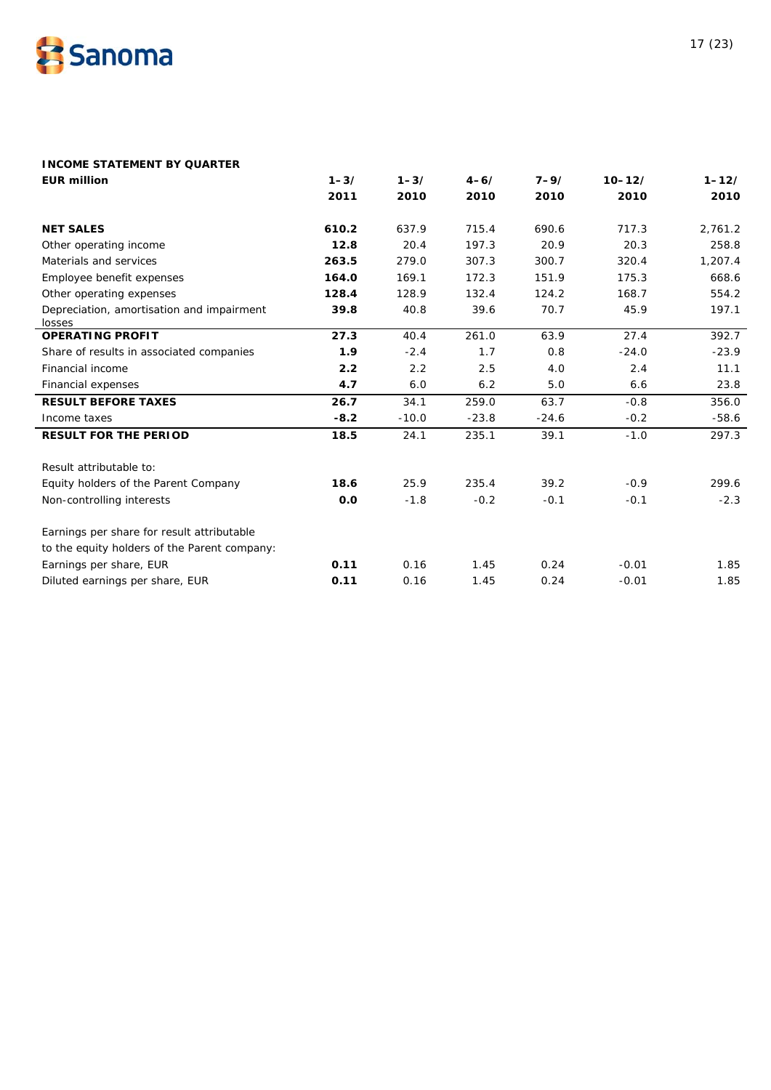

# **INCOME STATEMENT BY QUARTER**

| <b>EUR million</b>                                  | $1 - 3/$ | $1 - 3/$ | $4 - 6/$ | $7 - 9/$ | $10 - 12/$ | $1 - 12/$ |
|-----------------------------------------------------|----------|----------|----------|----------|------------|-----------|
|                                                     | 2011     | 2010     | 2010     | 2010     | 2010       | 2010      |
|                                                     |          |          |          |          |            |           |
| <b>NET SALES</b>                                    | 610.2    | 637.9    | 715.4    | 690.6    | 717.3      | 2,761.2   |
| Other operating income                              | 12.8     | 20.4     | 197.3    | 20.9     | 20.3       | 258.8     |
| Materials and services                              | 263.5    | 279.0    | 307.3    | 300.7    | 320.4      | 1,207.4   |
| Employee benefit expenses                           | 164.0    | 169.1    | 172.3    | 151.9    | 175.3      | 668.6     |
| Other operating expenses                            | 128.4    | 128.9    | 132.4    | 124.2    | 168.7      | 554.2     |
| Depreciation, amortisation and impairment<br>losses | 39.8     | 40.8     | 39.6     | 70.7     | 45.9       | 197.1     |
| <b>OPERATING PROFIT</b>                             | 27.3     | 40.4     | 261.0    | 63.9     | 27.4       | 392.7     |
| Share of results in associated companies            | 1.9      | $-2.4$   | 1.7      | 0.8      | $-24.0$    | $-23.9$   |
| Financial income                                    | 2.2      | 2.2      | 2.5      | 4.0      | 2.4        | 11.1      |
| Financial expenses                                  | 4.7      | 6.0      | 6.2      | 5.0      | 6.6        | 23.8      |
| <b>RESULT BEFORE TAXES</b>                          | 26.7     | 34.1     | 259.0    | 63.7     | $-0.8$     | 356.0     |
| Income taxes                                        | $-8.2$   | $-10.0$  | $-23.8$  | $-24.6$  | $-0.2$     | $-58.6$   |
| <b>RESULT FOR THE PERIOD</b>                        | 18.5     | 24.1     | 235.1    | 39.1     | $-1.0$     | 297.3     |
| Result attributable to:                             |          |          |          |          |            |           |
| Equity holders of the Parent Company                | 18.6     | 25.9     | 235.4    | 39.2     | $-0.9$     | 299.6     |
| Non-controlling interests                           | 0.0      | $-1.8$   | $-0.2$   | $-0.1$   | $-0.1$     | $-2.3$    |
| Earnings per share for result attributable          |          |          |          |          |            |           |
| to the equity holders of the Parent company:        |          |          |          |          |            |           |
| Earnings per share, EUR                             | 0.11     | 0.16     | 1.45     | 0.24     | $-0.01$    | 1.85      |
| Diluted earnings per share, EUR                     | 0.11     | 0.16     | 1.45     | 0.24     | $-0.01$    | 1.85      |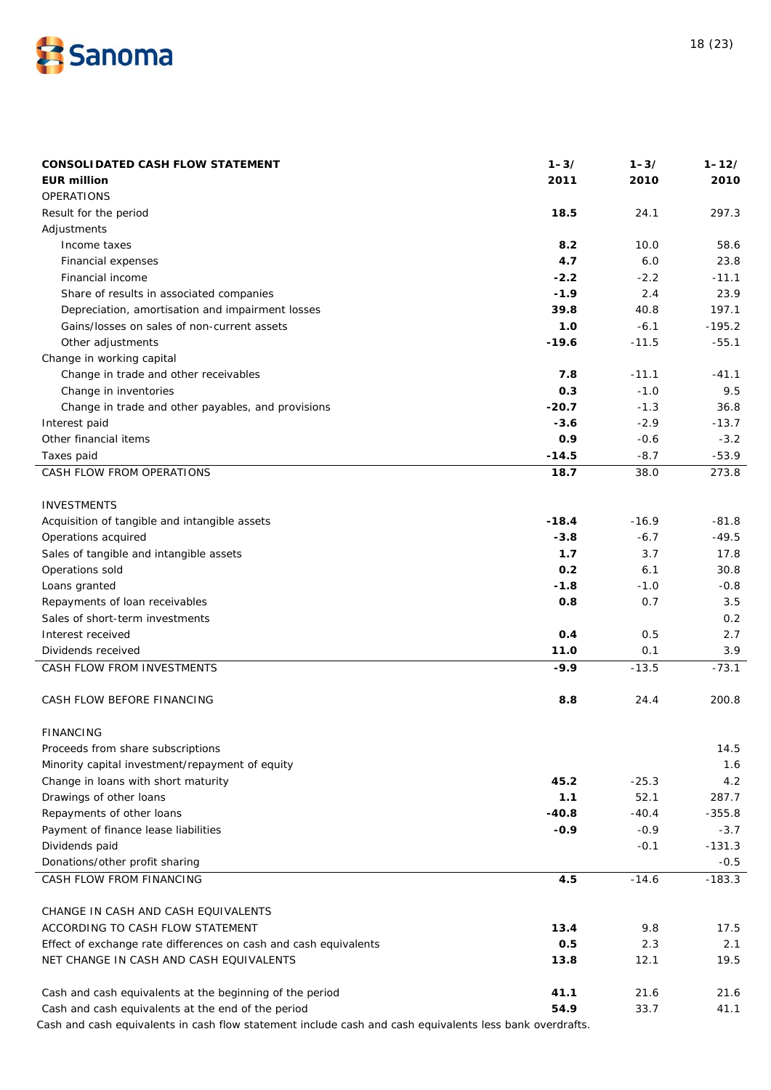

| <b>CONSOLIDATED CASH FLOW STATEMENT</b>                          | $1 - 3/$ | $1 - 3/$ | $1 - 12/$ |
|------------------------------------------------------------------|----------|----------|-----------|
| <b>EUR million</b>                                               | 2011     | 2010     | 2010      |
| <b>OPERATIONS</b>                                                |          |          |           |
| Result for the period                                            | 18.5     | 24.1     | 297.3     |
| Adjustments                                                      |          |          |           |
| Income taxes                                                     | 8.2      | 10.0     | 58.6      |
| Financial expenses                                               | 4.7      | 6.0      | 23.8      |
| Financial income                                                 | $-2.2$   | $-2.2$   | $-11.1$   |
| Share of results in associated companies                         | $-1.9$   | 2.4      | 23.9      |
| Depreciation, amortisation and impairment losses                 | 39.8     | 40.8     | 197.1     |
| Gains/losses on sales of non-current assets                      | 1.0      | $-6.1$   | $-195.2$  |
| Other adjustments                                                | $-19.6$  | $-11.5$  | $-55.1$   |
| Change in working capital                                        |          |          |           |
| Change in trade and other receivables                            | 7.8      | $-11.1$  | $-41.1$   |
| Change in inventories                                            | 0.3      | $-1.0$   | 9.5       |
| Change in trade and other payables, and provisions               | $-20.7$  | $-1.3$   | 36.8      |
| Interest paid                                                    | $-3.6$   | $-2.9$   | $-13.7$   |
| Other financial items                                            | 0.9      | $-0.6$   | $-3.2$    |
| Taxes paid                                                       | $-14.5$  | $-8.7$   | $-53.9$   |
| CASH FLOW FROM OPERATIONS                                        | 18.7     | 38.0     | 273.8     |
|                                                                  |          |          |           |
| <b>INVESTMENTS</b>                                               |          |          |           |
| Acquisition of tangible and intangible assets                    | $-18.4$  | $-16.9$  | $-81.8$   |
| Operations acquired                                              | $-3.8$   | $-6.7$   | $-49.5$   |
| Sales of tangible and intangible assets                          | 1.7      | 3.7      | 17.8      |
| Operations sold                                                  | 0.2      | 6.1      | 30.8      |
| Loans granted                                                    | $-1.8$   | $-1.0$   | $-0.8$    |
| Repayments of loan receivables                                   | 0.8      | 0.7      | 3.5       |
| Sales of short-term investments                                  |          |          | 0.2       |
| Interest received                                                | 0.4      | 0.5      | 2.7       |
| Dividends received                                               | 11.0     | 0.1      | 3.9       |
| CASH FLOW FROM INVESTMENTS                                       | $-9.9$   | $-13.5$  | $-73.1$   |
|                                                                  |          |          |           |
| CASH FLOW BEFORE FINANCING                                       | 8.8      | 24.4     | 200.8     |
|                                                                  |          |          |           |
| <b>FINANCING</b>                                                 |          |          |           |
| Proceeds from share subscriptions                                |          |          | 14.5      |
| Minority capital investment/repayment of equity                  |          |          | 1.6       |
| Change in loans with short maturity                              | 45.2     | $-25.3$  | 4.2       |
| Drawings of other loans                                          | 1.1      | 52.1     | 287.7     |
| Repayments of other loans                                        | $-40.8$  | $-40.4$  | $-355.8$  |
| Payment of finance lease liabilities                             | $-0.9$   | $-0.9$   | $-3.7$    |
| Dividends paid                                                   |          | $-0.1$   | $-131.3$  |
| Donations/other profit sharing                                   |          |          | $-0.5$    |
| CASH FLOW FROM FINANCING                                         | 4.5      | $-14.6$  | $-183.3$  |
|                                                                  |          |          |           |
| CHANGE IN CASH AND CASH EQUIVALENTS                              |          |          |           |
| ACCORDING TO CASH FLOW STATEMENT                                 | 13.4     | 9.8      | 17.5      |
| Effect of exchange rate differences on cash and cash equivalents | 0.5      | 2.3      | 2.1       |
| NET CHANGE IN CASH AND CASH EQUIVALENTS                          | 13.8     | 12.1     | 19.5      |
| Cash and cash equivalents at the beginning of the period         | 41.1     | 21.6     | 21.6      |
| Cash and cash equivalents at the end of the period               | 54.9     | 33.7     | 41.1      |
|                                                                  |          |          |           |

Cash and cash equivalents in cash flow statement include cash and cash equivalents less bank overdrafts.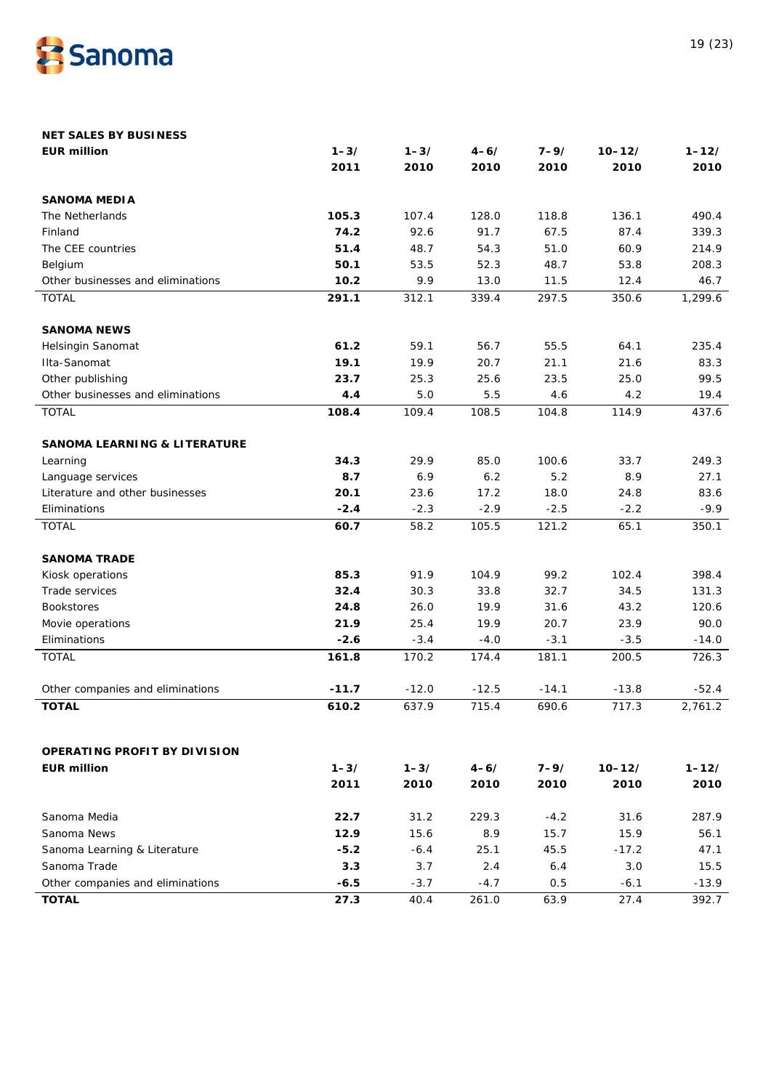

| <b>NET SALES BY BUSINESS</b>            |          |          |          |          |            |           |
|-----------------------------------------|----------|----------|----------|----------|------------|-----------|
| <b>EUR million</b>                      | $1 - 3/$ | $1 - 3/$ | $4 - 6/$ | $7 - 9/$ | $10 - 12/$ | $1 - 12/$ |
|                                         | 2011     | 2010     | 2010     | 2010     | 2010       | 2010      |
| <b>SANOMA MEDIA</b>                     |          |          |          |          |            |           |
| The Netherlands                         | 105.3    | 107.4    | 128.0    | 118.8    | 136.1      | 490.4     |
| Finland                                 | 74.2     | 92.6     | 91.7     | 67.5     | 87.4       | 339.3     |
| The CEE countries                       | 51.4     | 48.7     | 54.3     | 51.0     | 60.9       | 214.9     |
| Belgium                                 | 50.1     | 53.5     | 52.3     | 48.7     | 53.8       | 208.3     |
| Other businesses and eliminations       | 10.2     | 9.9      | 13.0     | 11.5     | 12.4       | 46.7      |
| <b>TOTAL</b>                            | 291.1    | 312.1    | 339.4    | 297.5    | 350.6      | 1,299.6   |
| <b>SANOMA NEWS</b>                      |          |          |          |          |            |           |
| Helsingin Sanomat                       | 61.2     | 59.1     | 56.7     | 55.5     | 64.1       | 235.4     |
| Ilta-Sanomat                            | 19.1     | 19.9     | 20.7     | 21.1     | 21.6       | 83.3      |
| Other publishing                        | 23.7     | 25.3     | 25.6     | 23.5     | 25.0       | 99.5      |
| Other businesses and eliminations       | 4.4      | $5.0$    | 5.5      | 4.6      | 4.2        | 19.4      |
| <b>TOTAL</b>                            | 108.4    | 109.4    | 108.5    | 104.8    | 114.9      | 437.6     |
| <b>SANOMA LEARNING &amp; LITERATURE</b> |          |          |          |          |            |           |
| Learning                                | 34.3     | 29.9     | 85.0     | 100.6    | 33.7       | 249.3     |
| Language services                       | 8.7      | 6.9      | 6.2      | 5.2      | 8.9        | 27.1      |
| Literature and other businesses         | 20.1     | 23.6     | 17.2     | 18.0     | 24.8       | 83.6      |
| Eliminations                            | $-2.4$   | $-2.3$   | $-2.9$   | $-2.5$   | $-2.2$     | $-9.9$    |
| <b>TOTAL</b>                            | 60.7     | 58.2     | 105.5    | 121.2    | 65.1       | 350.1     |
| <b>SANOMA TRADE</b>                     |          |          |          |          |            |           |
| Kiosk operations                        | 85.3     | 91.9     | 104.9    | 99.2     | 102.4      | 398.4     |
| Trade services                          | 32.4     | 30.3     | 33.8     | 32.7     | 34.5       | 131.3     |
| <b>Bookstores</b>                       | 24.8     | 26.0     | 19.9     | 31.6     | 43.2       | 120.6     |
| Movie operations                        | 21.9     | 25.4     | 19.9     | 20.7     | 23.9       | 90.0      |
| Eliminations                            | $-2.6$   | $-3.4$   | $-4.0$   | $-3.1$   | $-3.5$     | $-14.0$   |
| <b>TOTAL</b>                            | 161.8    | 170.2    | 174.4    | 181.1    | 200.5      | 726.3     |
| Other companies and eliminations        | $-11.7$  | $-12.0$  | $-12.5$  | $-14.1$  | $-13.8$    | $-52.4$   |
| <b>TOTAL</b>                            | 610.2    | 637.9    | 715.4    | 690.6    | 717.3      | 2,761.2   |
|                                         |          |          |          |          |            |           |
| OPERATING PROFIT BY DIVISION            |          |          |          |          |            |           |
| <b>EUR million</b>                      | $1 - 3/$ | $1 - 3/$ | $4 - 6/$ | $7 - 9/$ | $10 - 12/$ | $1 - 12/$ |
|                                         | 2011     | 2010     | 2010     | 2010     | 2010       | 2010      |
| Sanoma Media                            | 22.7     | 31.2     | 229.3    | $-4.2$   | 31.6       | 287.9     |
| Sanoma News                             | 12.9     | 15.6     | 8.9      | 15.7     | 15.9       | 56.1      |
| Sanoma Learning & Literature            | $-5.2$   | $-6.4$   | 25.1     | 45.5     | $-17.2$    | 47.1      |
| Sanoma Trade                            | 3.3      | 3.7      | 2.4      | 6.4      | 3.0        | 15.5      |
| Other companies and eliminations        | $-6.5$   | $-3.7$   | $-4.7$   | 0.5      | $-6.1$     | $-13.9$   |
| <b>TOTAL</b>                            | 27.3     | 40.4     | 261.0    | 63.9     | 27.4       | 392.7     |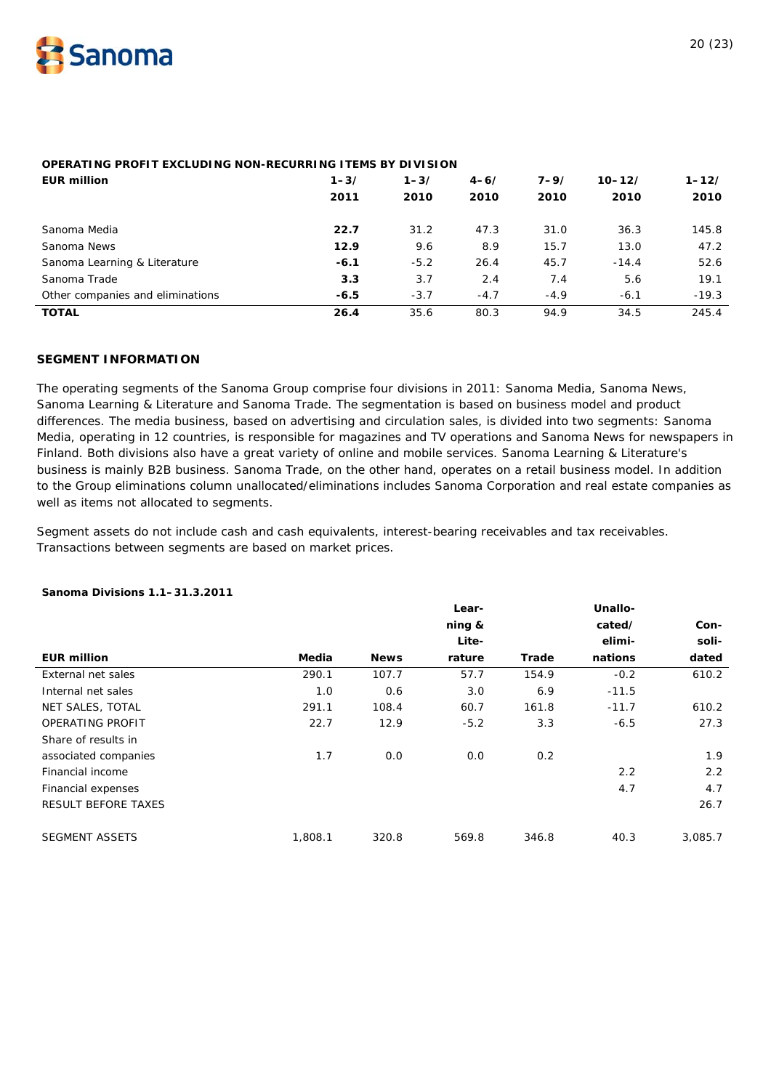

# **OPERATING PROFIT EXCLUDING NON-RECURRING ITEMS BY DIVISION**

| <b>EUR million</b>               | $1 - 3/$<br>2011 | $1 - 3/$<br>2010 | $4 - 6/$<br>2010 | $7 - 9/$<br>2010 | $10 - 12/$<br>2010 | $1 - 12/$<br>2010 |
|----------------------------------|------------------|------------------|------------------|------------------|--------------------|-------------------|
| Sanoma Media                     | 22.7             | 31.2             | 47.3             | 31.0             | 36.3               | 145.8             |
| Sanoma News                      | 12.9             | 9.6              | 8.9              | 15.7             | 13.0               | 47.2              |
| Sanoma Learning & Literature     | $-6.1$           | $-5.2$           | 26.4             | 45.7             | $-14.4$            | 52.6              |
| Sanoma Trade                     | 3.3              | 3.7              | 2.4              | 7.4              | 5.6                | 19.1              |
| Other companies and eliminations | $-6.5$           | $-3.7$           | $-4.7$           | $-4.9$           | $-6.1$             | $-19.3$           |
| <b>TOTAL</b>                     | 26.4             | 35.6             | 80.3             | 94.9             | 34.5               | 245.4             |

# **SEGMENT INFORMATION**

The operating segments of the Sanoma Group comprise four divisions in 2011: Sanoma Media, Sanoma News, Sanoma Learning & Literature and Sanoma Trade. The segmentation is based on business model and product differences. The media business, based on advertising and circulation sales, is divided into two segments: Sanoma Media, operating in 12 countries, is responsible for magazines and TV operations and Sanoma News for newspapers in Finland. Both divisions also have a great variety of online and mobile services. Sanoma Learning & Literature's business is mainly B2B business. Sanoma Trade, on the other hand, operates on a retail business model. In addition to the Group eliminations column unallocated/eliminations includes Sanoma Corporation and real estate companies as well as items not allocated to segments.

Segment assets do not include cash and cash equivalents, interest-bearing receivables and tax receivables. Transactions between segments are based on market prices.

|                            |         |             | Lear-<br>ning & |       | Unallo-<br>cated/ | Con-    |
|----------------------------|---------|-------------|-----------------|-------|-------------------|---------|
|                            |         |             | Lite-           |       | elimi-            | soli-   |
| <b>EUR million</b>         | Media   | <b>News</b> | rature          | Trade | nations           | dated   |
| External net sales         | 290.1   | 107.7       | 57.7            | 154.9 | $-0.2$            | 610.2   |
| Internal net sales         | 1.0     | 0.6         | 3.0             | 6.9   | $-11.5$           |         |
| NET SALES, TOTAL           | 291.1   | 108.4       | 60.7            | 161.8 | $-11.7$           | 610.2   |
| OPERATING PROFIT           | 22.7    | 12.9        | $-5.2$          | 3.3   | $-6.5$            | 27.3    |
| Share of results in        |         |             |                 |       |                   |         |
| associated companies       | 1.7     | 0.0         | 0.0             | 0.2   |                   | 1.9     |
| Financial income           |         |             |                 |       | 2.2               | 2.2     |
| Financial expenses         |         |             |                 |       | 4.7               | 4.7     |
| <b>RESULT BEFORE TAXES</b> |         |             |                 |       |                   | 26.7    |
| <b>SEGMENT ASSETS</b>      | 1,808.1 | 320.8       | 569.8           | 346.8 | 40.3              | 3,085.7 |

#### **Sanoma Divisions 1.1–31.3.2011**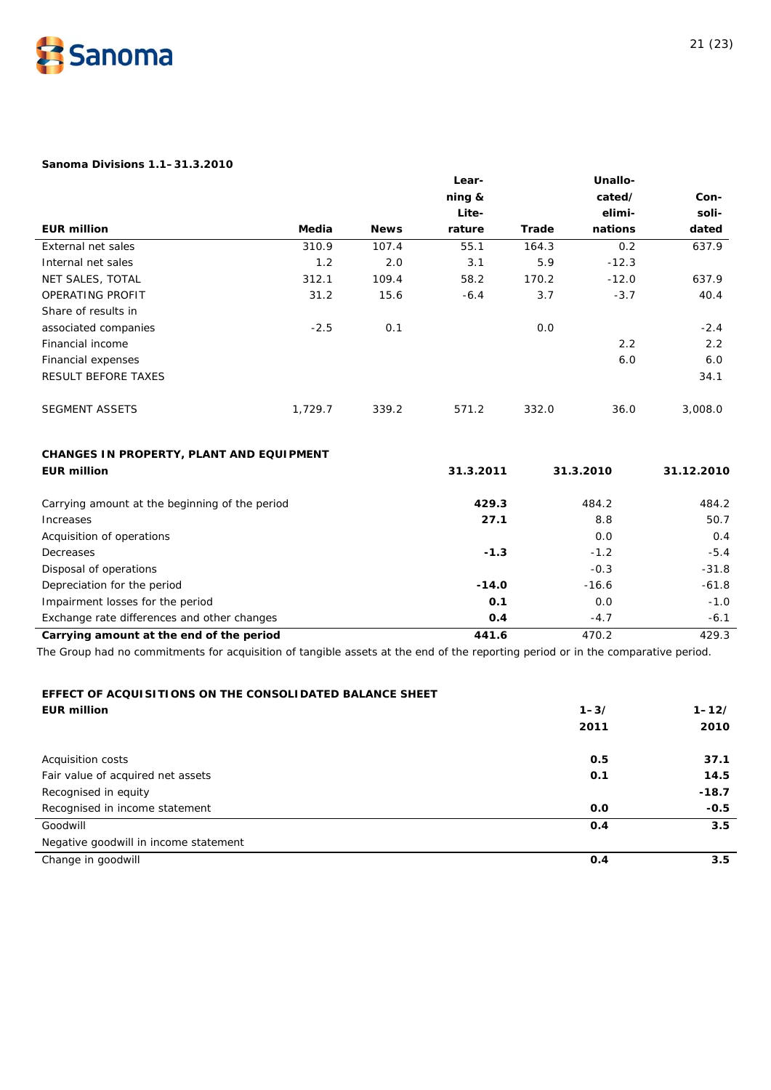

# **Sanoma Divisions 1.1–31.3.2010**

|                                                |         |             | Lear-     |       | Unallo-   |            |
|------------------------------------------------|---------|-------------|-----------|-------|-----------|------------|
|                                                |         |             | ning &    |       | cated/    | Con-       |
|                                                |         |             | Lite-     |       | elimi-    | soli-      |
| <b>EUR million</b>                             | Media   | <b>News</b> | rature    | Trade | nations   | dated      |
| External net sales                             | 310.9   | 107.4       | 55.1      | 164.3 | 0.2       | 637.9      |
| Internal net sales                             | 1.2     | 2.0         | 3.1       | 5.9   | $-12.3$   |            |
| NET SALES, TOTAL                               | 312.1   | 109.4       | 58.2      | 170.2 | $-12.0$   | 637.9      |
| OPERATING PROFIT                               | 31.2    | 15.6        | $-6.4$    | 3.7   | $-3.7$    | 40.4       |
| Share of results in                            |         |             |           |       |           |            |
| associated companies                           | $-2.5$  | 0.1         |           | 0.0   |           | $-2.4$     |
| Financial income                               |         |             |           |       | 2.2       | 2.2        |
| Financial expenses                             |         |             |           |       | 6.0       | 6.0        |
| <b>RESULT BEFORE TAXES</b>                     |         |             |           |       |           | 34.1       |
| <b>SEGMENT ASSETS</b>                          | 1,729.7 | 339.2       | 571.2     | 332.0 | 36.0      | 3,008.0    |
| CHANGES IN PROPERTY, PLANT AND EQUIPMENT       |         |             |           |       |           |            |
| <b>EUR million</b>                             |         |             | 31.3.2011 |       | 31.3.2010 | 31.12.2010 |
| Carrying amount at the beginning of the period |         |             | 429.3     |       | 484.2     | 484.2      |
| Increases                                      |         |             | 27.1      |       | 8.8       | 50.7       |
| Acquisition of operations                      |         |             |           |       | 0.0       | 0.4        |
| Decreases                                      |         |             | $-1.3$    |       | $-1.2$    | $-5.4$     |
| Disposal of operations                         |         |             |           |       | $-0.3$    | $-31.8$    |
| Depreciation for the period                    |         |             | $-14.0$   |       | $-16.6$   | $-61.8$    |
| Impairment losses for the period               |         |             | 0.1       |       | 0.0       | $-1.0$     |
| Exchange rate differences and other changes    |         |             | O.4       |       | $-4.7$    | $-6.1$     |
| Carrying amount at the end of the period       |         |             | 441.6     |       | 470.2     | 429.3      |

# **EFFECT OF ACQUISITIONS ON THE CONSOLIDATED BALANCE SHEET**

| <b>EUR million</b>                    | $1 - 3/$ | $1 - 12/$ |
|---------------------------------------|----------|-----------|
|                                       | 2011     | 2010      |
| Acquisition costs                     | 0.5      | 37.1      |
| Fair value of acquired net assets     | 0.1      | 14.5      |
| Recognised in equity                  |          | $-18.7$   |
| Recognised in income statement        | 0.0      | $-0.5$    |
| Goodwill                              | 0.4      | 3.5       |
| Negative goodwill in income statement |          |           |
| Change in goodwill                    | 0.4      | 3.5       |
|                                       |          |           |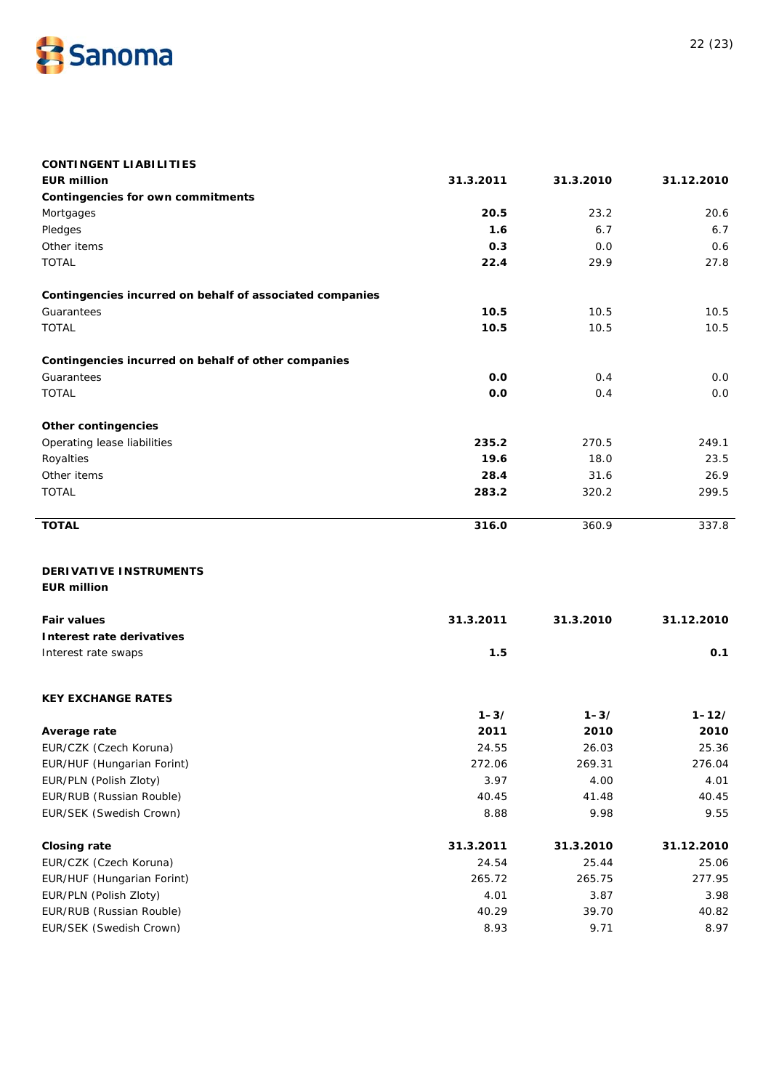

| <b>CONTINGENT LIABILITIES</b>                            |           |           |            |
|----------------------------------------------------------|-----------|-----------|------------|
| <b>EUR million</b>                                       | 31.3.2011 | 31.3.2010 | 31.12.2010 |
| Contingencies for own commitments                        |           |           |            |
| Mortgages                                                | 20.5      | 23.2      | 20.6       |
| Pledges                                                  | 1.6       | 6.7       | 6.7        |
| Other items                                              | 0.3       | 0.0       | 0.6        |
| <b>TOTAL</b>                                             | 22.4      | 29.9      | 27.8       |
| Contingencies incurred on behalf of associated companies |           |           |            |
| Guarantees                                               | 10.5      | 10.5      | 10.5       |
| <b>TOTAL</b>                                             | 10.5      | 10.5      | 10.5       |
| Contingencies incurred on behalf of other companies      |           |           |            |
| Guarantees                                               | 0.0       | 0.4       | 0.0        |
| <b>TOTAL</b>                                             | 0.0       | 0.4       | 0.0        |
| <b>Other contingencies</b>                               |           |           |            |
| Operating lease liabilities                              | 235.2     | 270.5     | 249.1      |
| Royalties                                                | 19.6      | 18.0      | 23.5       |
| Other items                                              | 28.4      | 31.6      | 26.9       |
| <b>TOTAL</b>                                             | 283.2     | 320.2     | 299.5      |
| <b>TOTAL</b>                                             | 316.0     | 360.9     | 337.8      |
| DERIVATIVE INSTRUMENTS                                   |           |           |            |
| <b>EUR million</b>                                       |           |           |            |
| <b>Fair values</b>                                       | 31.3.2011 | 31.3.2010 | 31.12.2010 |
| Interest rate derivatives                                |           |           |            |
| Interest rate swaps                                      | 1.5       |           | 0.1        |
| <b>KEY EXCHANGE RATES</b>                                |           |           |            |
|                                                          | $1 - 3/$  | $1 - 3/$  | $1 - 12/$  |
| Average rate                                             | 2011      | 2010      | 2010       |
| EUR/CZK (Czech Koruna)                                   | 24.55     | 26.03     | 25.36      |
| EUR/HUF (Hungarian Forint)                               | 272.06    | 269.31    | 276.04     |
| EUR/PLN (Polish Zloty)                                   | 3.97      | 4.00      | 4.01       |
| EUR/RUB (Russian Rouble)                                 | 40.45     | 41.48     | 40.45      |
| EUR/SEK (Swedish Crown)                                  | 8.88      | 9.98      | 9.55       |
| <b>Closing rate</b>                                      | 31.3.2011 | 31.3.2010 | 31.12.2010 |
| EUR/CZK (Czech Koruna)                                   | 24.54     | 25.44     | 25.06      |
| EUR/HUF (Hungarian Forint)                               | 265.72    | 265.75    | 277.95     |
| EUR/PLN (Polish Zloty)                                   | 4.01      | 3.87      | 3.98       |
| EUR/RUB (Russian Rouble)                                 | 40.29     | 39.70     | 40.82      |
| EUR/SEK (Swedish Crown)                                  | 8.93      | 9.71      | 8.97       |